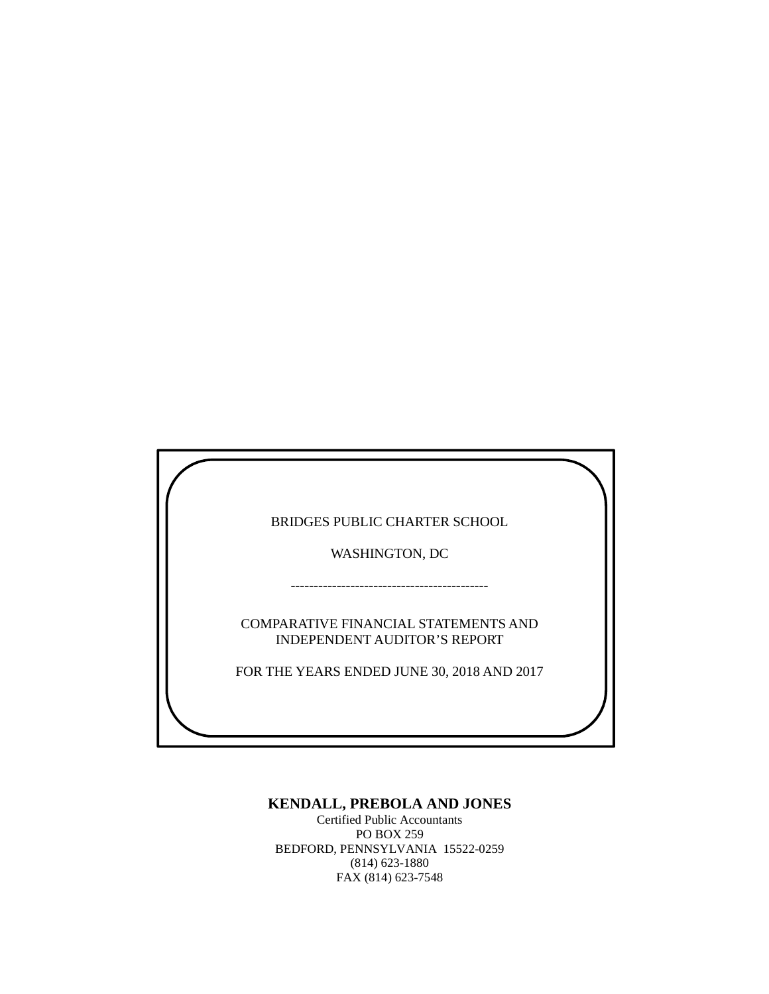BRIDGES PUBLIC CHARTER SCHOOL

WASHINGTON, DC

-------------------------------------------

COMPARATIVE FINANCIAL STATEMENTS AND INDEPENDENT AUDITOR'S REPORT

FOR THE YEARS ENDED JUNE 30, 2018 AND 2017

# **KENDALL, PREBOLA AND JONES**

Certified Public Accountants PO BOX 259 BEDFORD, PENNSYLVANIA 15522-0259 (814) 623-1880 FAX (814) 623-7548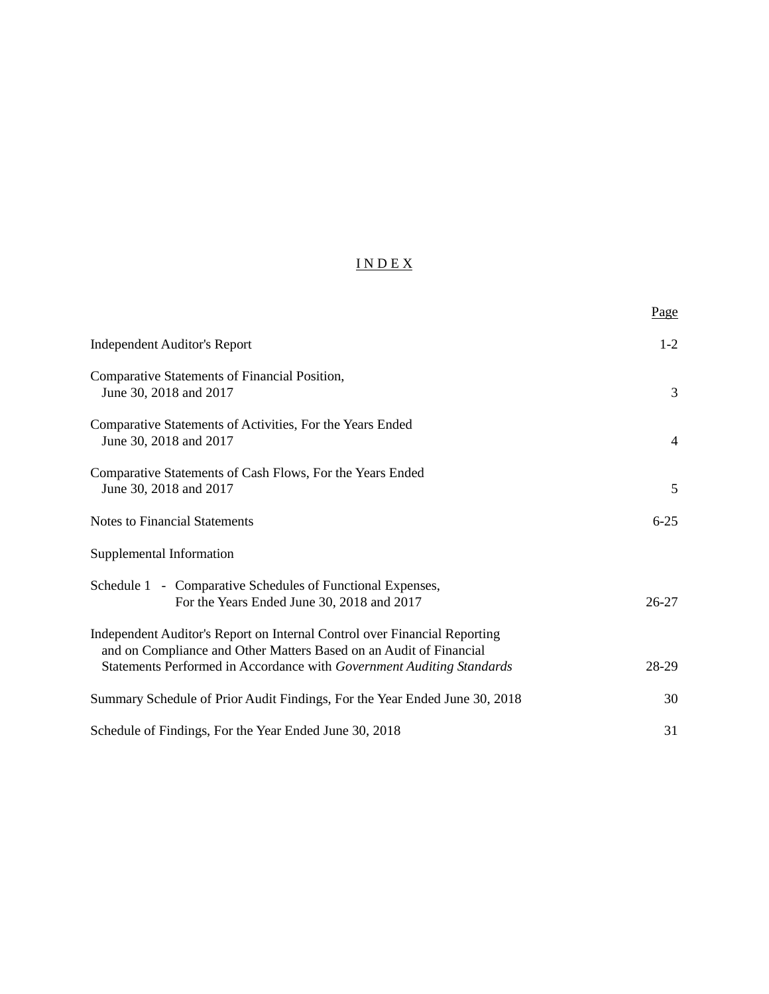# I N D E X

|                                                                                                                                                                                                                          | Page           |
|--------------------------------------------------------------------------------------------------------------------------------------------------------------------------------------------------------------------------|----------------|
| <b>Independent Auditor's Report</b>                                                                                                                                                                                      | $1 - 2$        |
| Comparative Statements of Financial Position,<br>June 30, 2018 and 2017                                                                                                                                                  | 3              |
| Comparative Statements of Activities, For the Years Ended<br>June 30, 2018 and 2017                                                                                                                                      | $\overline{4}$ |
| Comparative Statements of Cash Flows, For the Years Ended<br>June 30, 2018 and 2017                                                                                                                                      | 5              |
| <b>Notes to Financial Statements</b>                                                                                                                                                                                     | $6 - 25$       |
| Supplemental Information                                                                                                                                                                                                 |                |
| Schedule 1 - Comparative Schedules of Functional Expenses,<br>For the Years Ended June 30, 2018 and 2017                                                                                                                 | $26 - 27$      |
| Independent Auditor's Report on Internal Control over Financial Reporting<br>and on Compliance and Other Matters Based on an Audit of Financial<br>Statements Performed in Accordance with Government Auditing Standards | 28-29          |
| Summary Schedule of Prior Audit Findings, For the Year Ended June 30, 2018                                                                                                                                               | 30             |
| Schedule of Findings, For the Year Ended June 30, 2018                                                                                                                                                                   | 31             |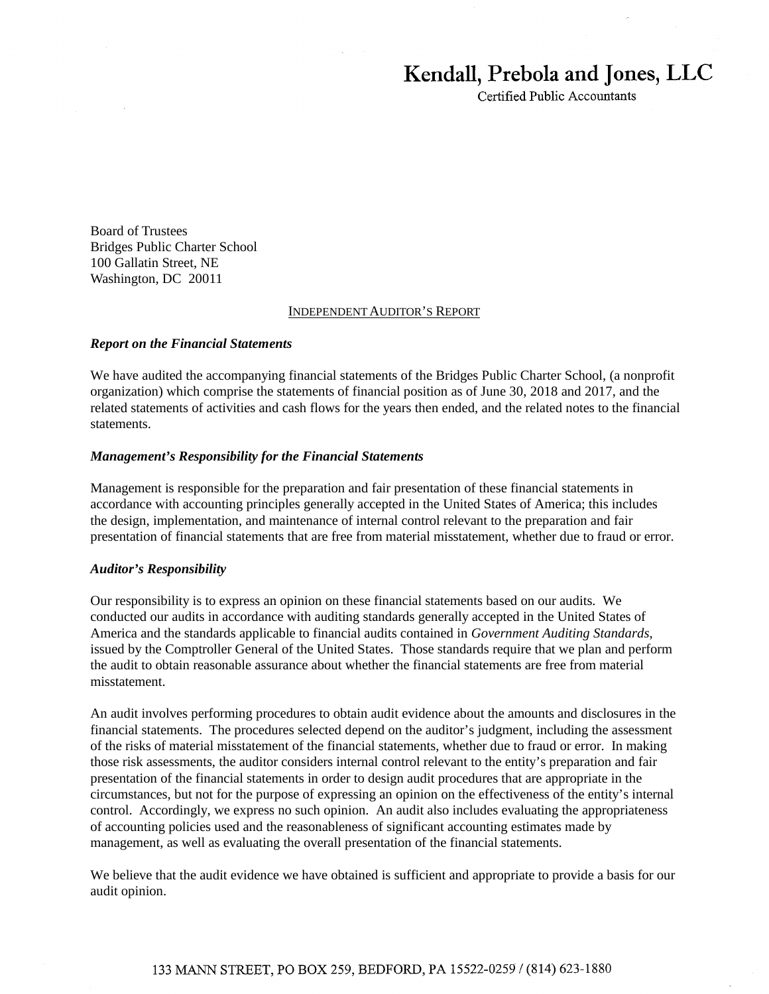# Kendall, Prebola and Jones, LLC

Certified Public Accountants

Board of Trustees Bridges Public Charter School 100 Gallatin Street, NE Washington, DC 20011

#### INDEPENDENT AUDITOR'S REPORT

#### *Report on the Financial Statements*

We have audited the accompanying financial statements of the Bridges Public Charter School, (a nonprofit organization) which comprise the statements of financial position as of June 30, 2018 and 2017, and the related statements of activities and cash flows for the years then ended, and the related notes to the financial statements.

#### *Management's Responsibility for the Financial Statements*

Management is responsible for the preparation and fair presentation of these financial statements in accordance with accounting principles generally accepted in the United States of America; this includes the design, implementation, and maintenance of internal control relevant to the preparation and fair presentation of financial statements that are free from material misstatement, whether due to fraud or error.

#### *Auditor's Responsibility*

Our responsibility is to express an opinion on these financial statements based on our audits. We conducted our audits in accordance with auditing standards generally accepted in the United States of America and the standards applicable to financial audits contained in *Government Auditing Standards*, issued by the Comptroller General of the United States. Those standards require that we plan and perform the audit to obtain reasonable assurance about whether the financial statements are free from material misstatement.

An audit involves performing procedures to obtain audit evidence about the amounts and disclosures in the financial statements. The procedures selected depend on the auditor's judgment, including the assessment of the risks of material misstatement of the financial statements, whether due to fraud or error. In making those risk assessments, the auditor considers internal control relevant to the entity's preparation and fair presentation of the financial statements in order to design audit procedures that are appropriate in the circumstances, but not for the purpose of expressing an opinion on the effectiveness of the entity's internal control. Accordingly, we express no such opinion. An audit also includes evaluating the appropriateness of accounting policies used and the reasonableness of significant accounting estimates made by management, as well as evaluating the overall presentation of the financial statements.

We believe that the audit evidence we have obtained is sufficient and appropriate to provide a basis for our audit opinion.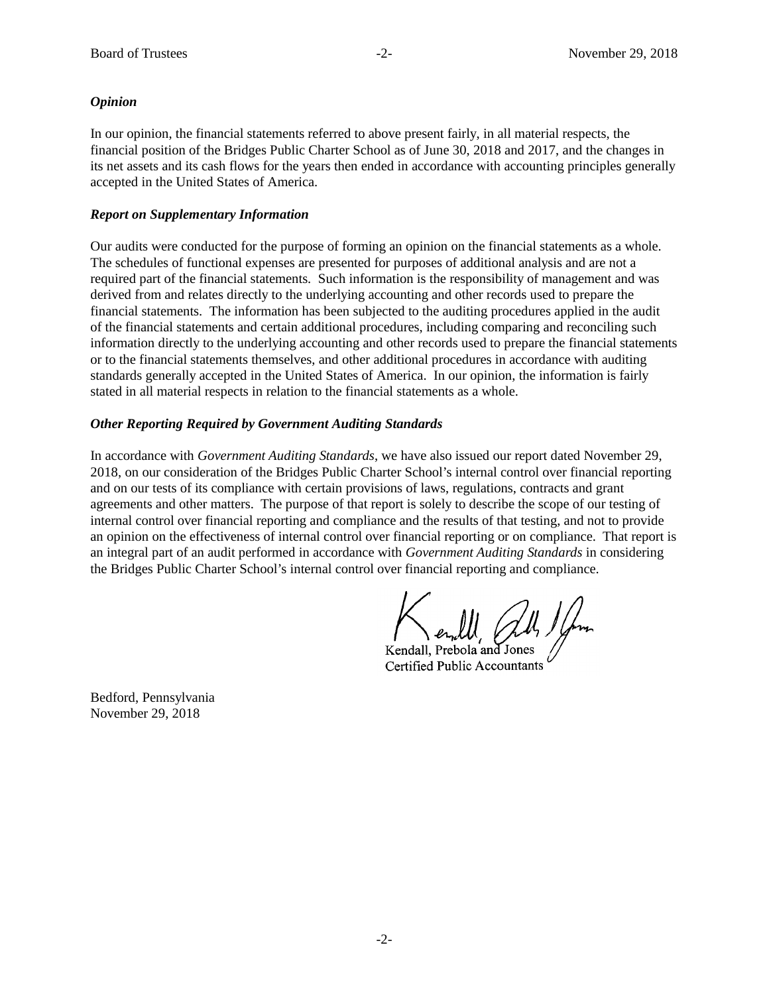# *Opinion*

In our opinion, the financial statements referred to above present fairly, in all material respects, the financial position of the Bridges Public Charter School as of June 30, 2018 and 2017, and the changes in its net assets and its cash flows for the years then ended in accordance with accounting principles generally accepted in the United States of America.

# *Report on Supplementary Information*

Our audits were conducted for the purpose of forming an opinion on the financial statements as a whole. The schedules of functional expenses are presented for purposes of additional analysis and are not a required part of the financial statements. Such information is the responsibility of management and was derived from and relates directly to the underlying accounting and other records used to prepare the financial statements. The information has been subjected to the auditing procedures applied in the audit of the financial statements and certain additional procedures, including comparing and reconciling such information directly to the underlying accounting and other records used to prepare the financial statements or to the financial statements themselves, and other additional procedures in accordance with auditing standards generally accepted in the United States of America. In our opinion, the information is fairly stated in all material respects in relation to the financial statements as a whole.

# *Other Reporting Required by Government Auditing Standards*

In accordance with *Government Auditing Standards*, we have also issued our report dated November 29, 2018, on our consideration of the Bridges Public Charter School's internal control over financial reporting and on our tests of its compliance with certain provisions of laws, regulations, contracts and grant agreements and other matters. The purpose of that report is solely to describe the scope of our testing of internal control over financial reporting and compliance and the results of that testing, and not to provide an opinion on the effectiveness of internal control over financial reporting or on compliance. That report is an integral part of an audit performed in accordance with *Government Auditing Standards* in considering the Bridges Public Charter School's internal control over financial reporting and compliance.

Kendall, Prebola and Jones Kendall, Prebola and Jones Certified Public Accountants Certified Public Accountants

Bedford, Pennsylvania November 29, 2018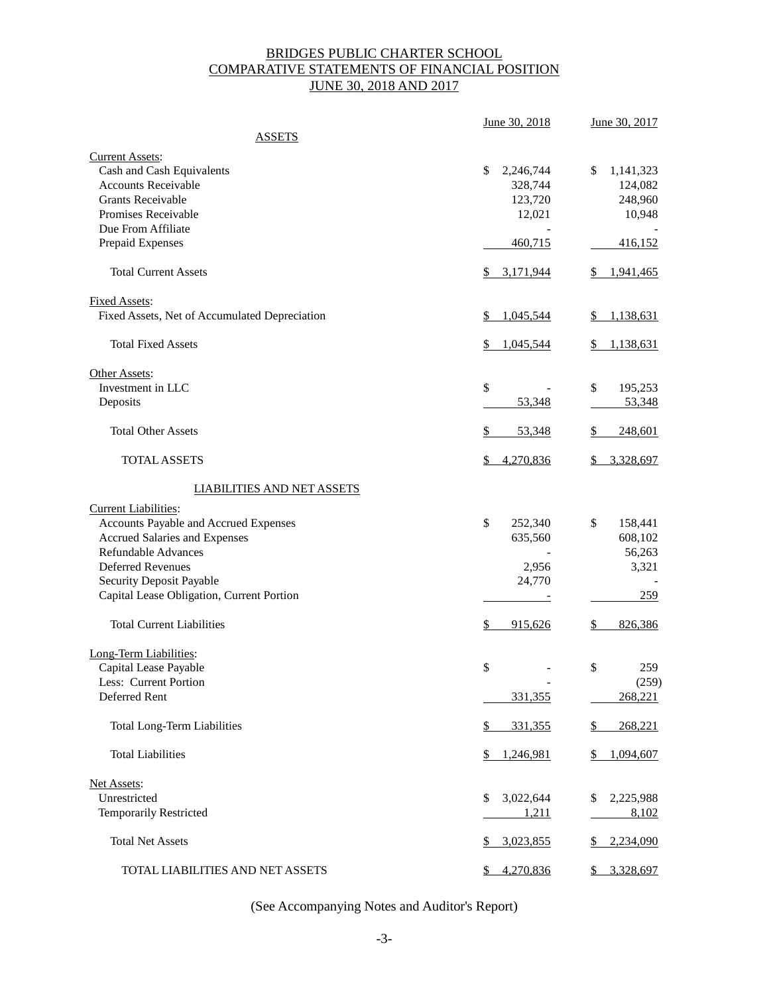# BRIDGES PUBLIC CHARTER SCHOOL COMPARATIVE STATEMENTS OF FINANCIAL POSITION JUNE 30, 2018 AND 2017

|                                                                                                                                                                                                                                          | June 30, 2018                                                        | June 30, 2017                                              |
|------------------------------------------------------------------------------------------------------------------------------------------------------------------------------------------------------------------------------------------|----------------------------------------------------------------------|------------------------------------------------------------|
| <b>ASSETS</b>                                                                                                                                                                                                                            |                                                                      |                                                            |
| <b>Current Assets:</b><br>Cash and Cash Equivalents<br><b>Accounts Receivable</b><br><b>Grants Receivable</b><br>Promises Receivable<br>Due From Affiliate<br>Prepaid Expenses                                                           | $\mathbb{S}$<br>2,246,744<br>328,744<br>123,720<br>12,021<br>460,715 | \$<br>1,141,323<br>124,082<br>248,960<br>10,948<br>416,152 |
| <b>Total Current Assets</b>                                                                                                                                                                                                              | \$3,171,944                                                          | 1,941,465                                                  |
| <b>Fixed Assets:</b><br>Fixed Assets, Net of Accumulated Depreciation                                                                                                                                                                    | 1,045,544<br>\$                                                      | 1,138,631<br>\$                                            |
| <b>Total Fixed Assets</b>                                                                                                                                                                                                                | 1,045,544<br>\$                                                      | 1,138,631<br>\$                                            |
| Other Assets:<br>Investment in LLC<br>Deposits<br><b>Total Other Assets</b>                                                                                                                                                              | \$<br>53,348<br>53,348<br>\$                                         | \$<br>195,253<br>53,348<br>248,601<br>\$                   |
| <b>TOTAL ASSETS</b>                                                                                                                                                                                                                      | 4,270,836<br>\$                                                      | 3,328,697<br>\$                                            |
| <b>LIABILITIES AND NET ASSETS</b>                                                                                                                                                                                                        |                                                                      |                                                            |
| <b>Current Liabilities:</b><br>Accounts Payable and Accrued Expenses<br>Accrued Salaries and Expenses<br><b>Refundable Advances</b><br><b>Deferred Revenues</b><br>Security Deposit Payable<br>Capital Lease Obligation, Current Portion | \$<br>252,340<br>635,560<br>2,956<br>24,770                          | \$<br>158,441<br>608,102<br>56,263<br>3,321<br>259         |
| <b>Total Current Liabilities</b>                                                                                                                                                                                                         | \$<br>915,626                                                        | \$<br>826,386                                              |
| Long-Term Liabilities:<br>Capital Lease Payable<br>Less: Current Portion<br>Deferred Rent                                                                                                                                                | \$<br>331,355                                                        | \$<br>259<br>(259)<br>268,221                              |
| <b>Total Long-Term Liabilities</b>                                                                                                                                                                                                       | \$<br>331,355                                                        | \$<br>268,221                                              |
| <b>Total Liabilities</b>                                                                                                                                                                                                                 | 1,246,981<br>\$                                                      | \$<br>1,094,607                                            |
| <b>Net Assets:</b><br>Unrestricted<br><b>Temporarily Restricted</b>                                                                                                                                                                      | 3,022,644<br>\$<br>1,211                                             | 2,225,988<br>\$<br>8,102                                   |
| <b>Total Net Assets</b>                                                                                                                                                                                                                  | 3,023,855                                                            | 2,234,090<br>\$                                            |
| TOTAL LIABILITIES AND NET ASSETS                                                                                                                                                                                                         | 4,270,836                                                            | 3,328,697<br>\$.                                           |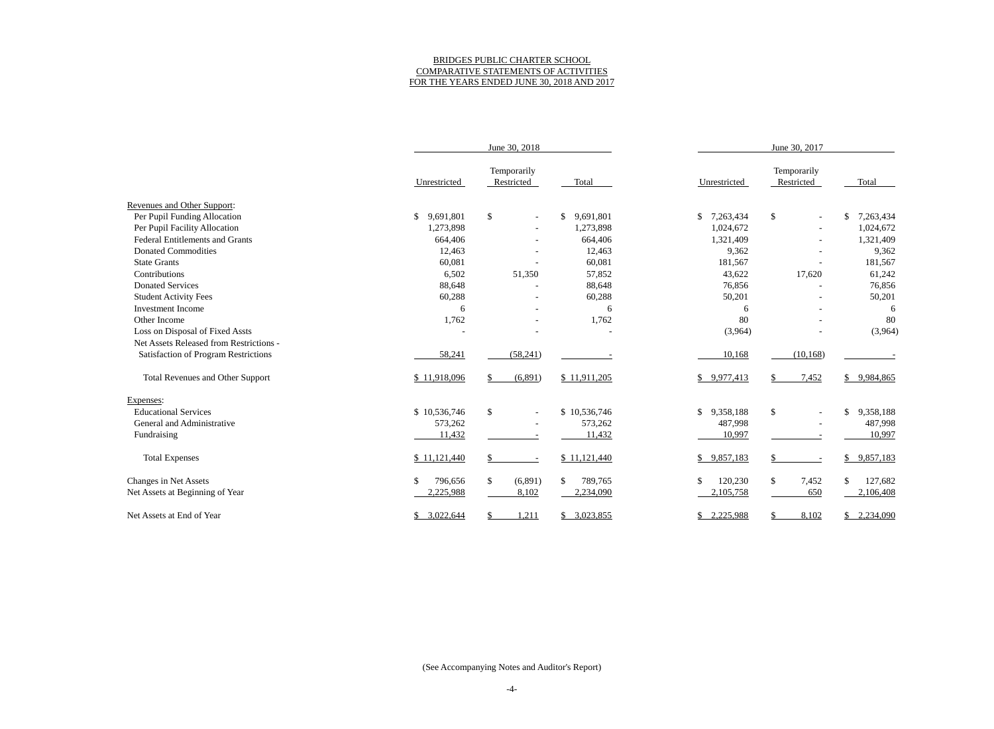#### BRIDGES PUBLIC CHARTER SCHOOL COMPARATIVE STATEMENTS OF ACTIVITIES FOR THE YEARS ENDED JUNE 30, 2018 AND 2017

|                                         | June 30, 2018   |               |                 | June 30, 2017   |                         |                 |
|-----------------------------------------|-----------------|---------------|-----------------|-----------------|-------------------------|-----------------|
|                                         |                 | Temporarily   |                 |                 | Temporarily             |                 |
|                                         | Unrestricted    | Restricted    | Total           | Unrestricted    | Restricted              | Total           |
| Revenues and Other Support:             |                 |               |                 |                 |                         |                 |
| Per Pupil Funding Allocation            | \$<br>9,691,801 | $\mathbb{S}$  | \$<br>9,691,801 | \$<br>7,263,434 | $\mathcal{S}$<br>$\sim$ | \$<br>7,263,434 |
| Per Pupil Facility Allocation           | 1,273,898       |               | 1,273,898       | 1,024,672       |                         | 1,024,672       |
| <b>Federal Entitlements and Grants</b>  | 664,406         |               | 664,406         | 1,321,409       |                         | 1,321,409       |
| <b>Donated Commodities</b>              | 12,463          |               | 12,463          | 9,362           |                         | 9,362           |
| <b>State Grants</b>                     | 60,081          |               | 60,081          | 181,567         | $\blacksquare$          | 181,567         |
| Contributions                           | 6,502           | 51,350        | 57,852          | 43,622          | 17,620                  | 61,242          |
| <b>Donated Services</b>                 | 88,648          |               | 88,648          | 76,856          |                         | 76,856          |
| <b>Student Activity Fees</b>            | 60,288          |               | 60,288          | 50,201          |                         | 50,201          |
| <b>Investment Income</b>                | 6               |               | 6               | 6               | $\blacksquare$          | 6               |
| Other Income                            | 1,762           |               | 1,762           | 80              |                         | 80              |
| Loss on Disposal of Fixed Assts         |                 |               |                 | (3,964)         |                         | (3,964)         |
| Net Assets Released from Restrictions - |                 |               |                 |                 |                         |                 |
| Satisfaction of Program Restrictions    | 58,241          | (58, 241)     |                 | 10,168          | (10, 168)               |                 |
| <b>Total Revenues and Other Support</b> | \$11,918,096    | (6,891)<br>\$ | \$11,911,205    | 9,977,413<br>\$ | 7,452<br>£.             | \$9,984,865     |
| Expenses:                               |                 |               |                 |                 |                         |                 |
| <b>Educational Services</b>             | \$10,536,746    | $\mathcal{S}$ | \$10,536,746    | \$<br>9,358,188 | $\mathcal{S}$           | 9,358,188<br>\$ |
| General and Administrative              | 573,262         |               | 573,262         | 487,998         |                         | 487,998         |
| Fundraising                             | 11,432          |               | 11,432          | 10,997          |                         | 10,997          |
| <b>Total Expenses</b>                   | \$11,121,440    |               | \$11,121,440    | 9,857,183<br>\$ |                         | 9,857,183<br>\$ |
| Changes in Net Assets                   | 796,656<br>\$   | \$<br>(6,891) | 789,765<br>\$   | \$<br>120,230   | $\mathbb{S}$<br>7,452   | 127,682         |
| Net Assets at Beginning of Year         | 2,225,988       | 8,102         | 2,234,090       | 2,105,758       | 650                     | 2,106,408       |
| Net Assets at End of Year               | 3,022,644       | 1,211         | \$3,023,855     | 2,225,988<br>\$ | 8,102                   | \$2,234,090     |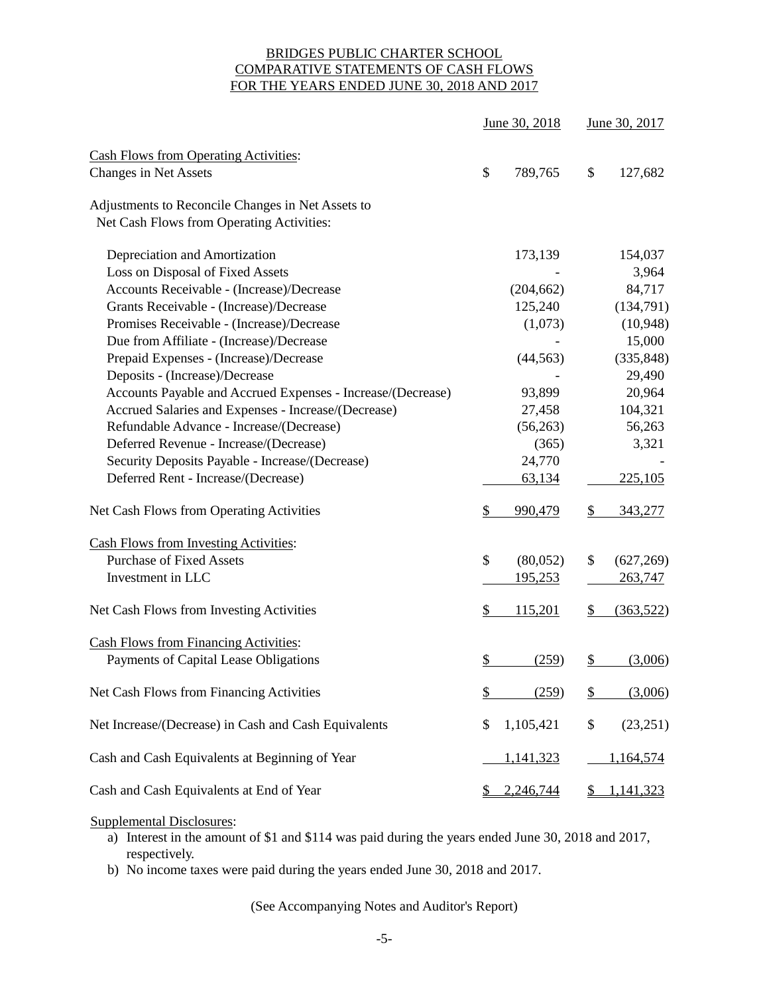# BRIDGES PUBLIC CHARTER SCHOOL COMPARATIVE STATEMENTS OF CASH FLOWS FOR THE YEARS ENDED JUNE 30, 2018 AND 2017

|                                                             | June 30, 2018 |                | June 30, 2017 |                  |
|-------------------------------------------------------------|---------------|----------------|---------------|------------------|
| <b>Cash Flows from Operating Activities:</b>                |               |                |               |                  |
| <b>Changes in Net Assets</b>                                | \$            | 789,765        | \$            | 127,682          |
| Adjustments to Reconcile Changes in Net Assets to           |               |                |               |                  |
| Net Cash Flows from Operating Activities:                   |               |                |               |                  |
| Depreciation and Amortization                               |               | 173,139        |               | 154,037          |
| Loss on Disposal of Fixed Assets                            |               |                |               | 3,964            |
| Accounts Receivable - (Increase)/Decrease                   |               | (204, 662)     |               | 84,717           |
| Grants Receivable - (Increase)/Decrease                     |               | 125,240        |               | (134,791)        |
| Promises Receivable - (Increase)/Decrease                   |               | (1,073)        |               | (10, 948)        |
| Due from Affiliate - (Increase)/Decrease                    |               |                |               | 15,000           |
| Prepaid Expenses - (Increase)/Decrease                      |               | (44, 563)      |               | (335, 848)       |
| Deposits - (Increase)/Decrease                              |               |                |               | 29,490           |
| Accounts Payable and Accrued Expenses - Increase/(Decrease) |               | 93,899         |               | 20,964           |
| Accrued Salaries and Expenses - Increase/(Decrease)         |               | 27,458         |               | 104,321          |
| Refundable Advance - Increase/(Decrease)                    |               | (56,263)       |               | 56,263           |
| Deferred Revenue - Increase/(Decrease)                      |               | (365)          |               | 3,321            |
| Security Deposits Payable - Increase/(Decrease)             |               | 24,770         |               |                  |
| Deferred Rent - Increase/(Decrease)                         |               | 63,134         |               | 225,105          |
| Net Cash Flows from Operating Activities                    | \$            | 990,479        | \$            | 343,277          |
| <b>Cash Flows from Investing Activities:</b>                |               |                |               |                  |
| <b>Purchase of Fixed Assets</b>                             | \$            | (80,052)       | \$            | (627, 269)       |
| Investment in LLC                                           |               | <u>195,253</u> |               | 263,747          |
| Net Cash Flows from Investing Activities                    | \$            | 115,201        | \$            | (363, 522)       |
| <b>Cash Flows from Financing Activities:</b>                |               |                |               |                  |
| Payments of Capital Lease Obligations                       | \$            | (259)          | $\frac{1}{2}$ | (3,006)          |
| Net Cash Flows from Financing Activities                    | \$            | (259)          | \$            | (3,006)          |
| Net Increase/(Decrease) in Cash and Cash Equivalents        | \$            | 1,105,421      | \$            | (23,251)         |
| Cash and Cash Equivalents at Beginning of Year              |               | 1,141,323      |               | 1,164,574        |
| Cash and Cash Equivalents at End of Year                    |               | 2,246,744      | S             | <u>1,141,323</u> |

# Supplemental Disclosures:

- a) Interest in the amount of \$1 and \$114 was paid during the years ended June 30, 2018 and 2017, respectively.
- b) No income taxes were paid during the years ended June 30, 2018 and 2017.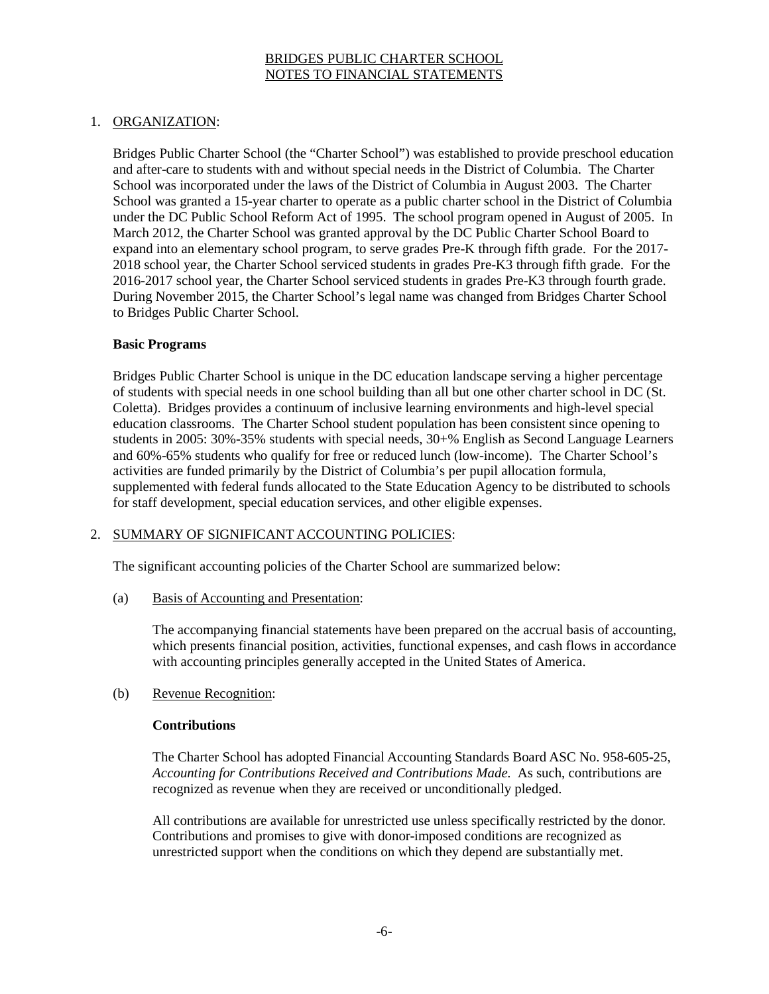### 1. ORGANIZATION:

Bridges Public Charter School (the "Charter School") was established to provide preschool education and after-care to students with and without special needs in the District of Columbia. The Charter School was incorporated under the laws of the District of Columbia in August 2003. The Charter School was granted a 15-year charter to operate as a public charter school in the District of Columbia under the DC Public School Reform Act of 1995. The school program opened in August of 2005. In March 2012, the Charter School was granted approval by the DC Public Charter School Board to expand into an elementary school program, to serve grades Pre-K through fifth grade. For the 2017- 2018 school year, the Charter School serviced students in grades Pre-K3 through fifth grade. For the 2016-2017 school year, the Charter School serviced students in grades Pre-K3 through fourth grade. During November 2015, the Charter School's legal name was changed from Bridges Charter School to Bridges Public Charter School.

### **Basic Programs**

Bridges Public Charter School is unique in the DC education landscape serving a higher percentage of students with special needs in one school building than all but one other charter school in DC (St. Coletta). Bridges provides a continuum of inclusive learning environments and high-level special education classrooms. The Charter School student population has been consistent since opening to students in 2005: 30%-35% students with special needs, 30+% English as Second Language Learners and 60%-65% students who qualify for free or reduced lunch (low-income). The Charter School's activities are funded primarily by the District of Columbia's per pupil allocation formula, supplemented with federal funds allocated to the State Education Agency to be distributed to schools for staff development, special education services, and other eligible expenses.

### 2. SUMMARY OF SIGNIFICANT ACCOUNTING POLICIES:

The significant accounting policies of the Charter School are summarized below:

(a) Basis of Accounting and Presentation:

The accompanying financial statements have been prepared on the accrual basis of accounting, which presents financial position, activities, functional expenses, and cash flows in accordance with accounting principles generally accepted in the United States of America.

(b) Revenue Recognition:

#### **Contributions**

The Charter School has adopted Financial Accounting Standards Board ASC No. 958-605-25, *Accounting for Contributions Received and Contributions Made.* As such, contributions are recognized as revenue when they are received or unconditionally pledged.

All contributions are available for unrestricted use unless specifically restricted by the donor. Contributions and promises to give with donor-imposed conditions are recognized as unrestricted support when the conditions on which they depend are substantially met.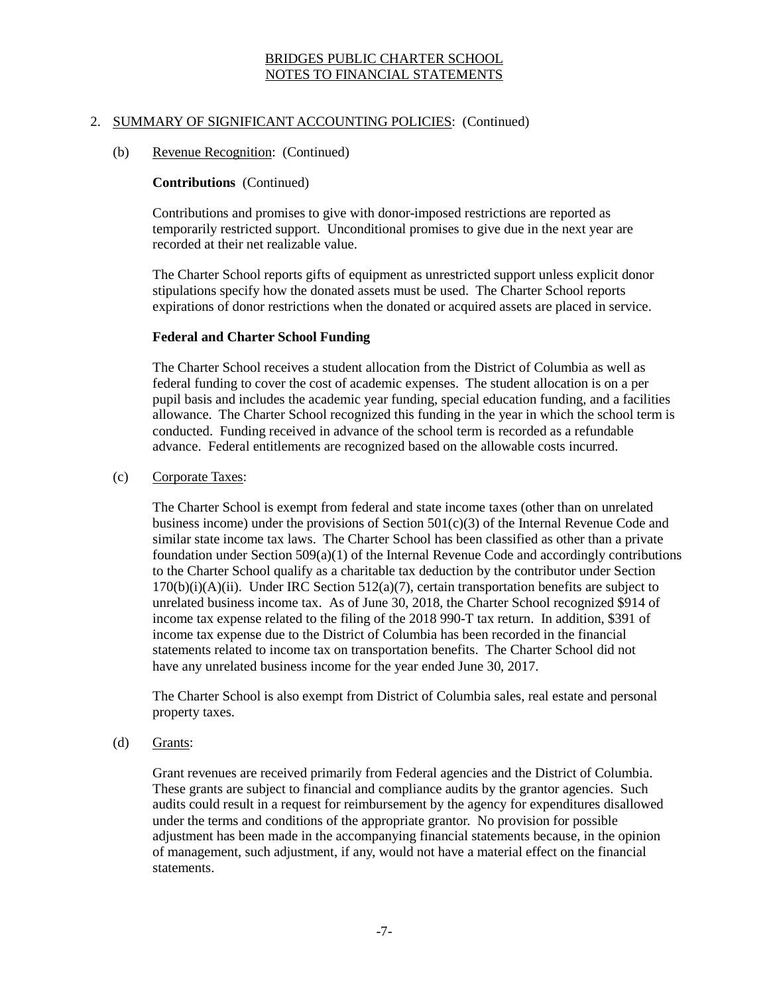# 2. SUMMARY OF SIGNIFICANT ACCOUNTING POLICIES: (Continued)

### (b) Revenue Recognition: (Continued)

### **Contributions** (Continued)

Contributions and promises to give with donor-imposed restrictions are reported as temporarily restricted support. Unconditional promises to give due in the next year are recorded at their net realizable value.

The Charter School reports gifts of equipment as unrestricted support unless explicit donor stipulations specify how the donated assets must be used. The Charter School reports expirations of donor restrictions when the donated or acquired assets are placed in service.

#### **Federal and Charter School Funding**

The Charter School receives a student allocation from the District of Columbia as well as federal funding to cover the cost of academic expenses. The student allocation is on a per pupil basis and includes the academic year funding, special education funding, and a facilities allowance. The Charter School recognized this funding in the year in which the school term is conducted. Funding received in advance of the school term is recorded as a refundable advance. Federal entitlements are recognized based on the allowable costs incurred.

#### (c) Corporate Taxes:

The Charter School is exempt from federal and state income taxes (other than on unrelated business income) under the provisions of Section  $501(c)(3)$  of the Internal Revenue Code and similar state income tax laws. The Charter School has been classified as other than a private foundation under Section 509(a)(1) of the Internal Revenue Code and accordingly contributions to the Charter School qualify as a charitable tax deduction by the contributor under Section  $170(b)(i)(A)(ii)$ . Under IRC Section  $512(a)(7)$ , certain transportation benefits are subject to unrelated business income tax. As of June 30, 2018, the Charter School recognized \$914 of income tax expense related to the filing of the 2018 990-T tax return. In addition, \$391 of income tax expense due to the District of Columbia has been recorded in the financial statements related to income tax on transportation benefits. The Charter School did not have any unrelated business income for the year ended June 30, 2017.

The Charter School is also exempt from District of Columbia sales, real estate and personal property taxes.

### (d) Grants:

Grant revenues are received primarily from Federal agencies and the District of Columbia. These grants are subject to financial and compliance audits by the grantor agencies. Such audits could result in a request for reimbursement by the agency for expenditures disallowed under the terms and conditions of the appropriate grantor. No provision for possible adjustment has been made in the accompanying financial statements because, in the opinion of management, such adjustment, if any, would not have a material effect on the financial statements.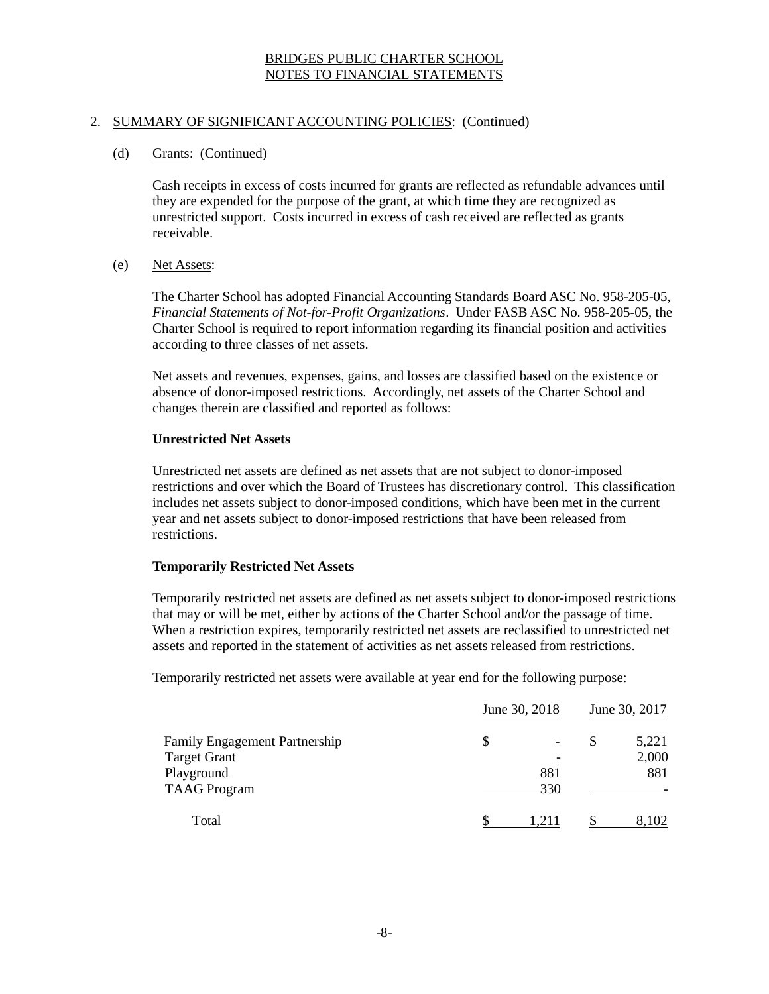# 2. SUMMARY OF SIGNIFICANT ACCOUNTING POLICIES: (Continued)

#### (d) Grants: (Continued)

Cash receipts in excess of costs incurred for grants are reflected as refundable advances until they are expended for the purpose of the grant, at which time they are recognized as unrestricted support. Costs incurred in excess of cash received are reflected as grants receivable.

#### (e) Net Assets:

The Charter School has adopted Financial Accounting Standards Board ASC No. 958-205-05, *Financial Statements of Not-for-Profit Organizations*. Under FASB ASC No. 958-205-05, the Charter School is required to report information regarding its financial position and activities according to three classes of net assets.

Net assets and revenues, expenses, gains, and losses are classified based on the existence or absence of donor-imposed restrictions. Accordingly, net assets of the Charter School and changes therein are classified and reported as follows:

#### **Unrestricted Net Assets**

Unrestricted net assets are defined as net assets that are not subject to donor-imposed restrictions and over which the Board of Trustees has discretionary control. This classification includes net assets subject to donor-imposed conditions, which have been met in the current year and net assets subject to donor-imposed restrictions that have been released from restrictions.

### **Temporarily Restricted Net Assets**

Temporarily restricted net assets are defined as net assets subject to donor-imposed restrictions that may or will be met, either by actions of the Charter School and/or the passage of time. When a restriction expires, temporarily restricted net assets are reclassified to unrestricted net assets and reported in the statement of activities as net assets released from restrictions.

Temporarily restricted net assets were available at year end for the following purpose:

|                                      | June 30, 2018 |     | June 30, 2017 |       |
|--------------------------------------|---------------|-----|---------------|-------|
| <b>Family Engagement Partnership</b> | \$            |     | S             | 5,221 |
| <b>Target Grant</b>                  |               |     |               | 2,000 |
| Playground                           |               | 881 |               | 881   |
| <b>TAAG</b> Program                  |               | 330 |               |       |
| Total                                |               |     |               | 8,102 |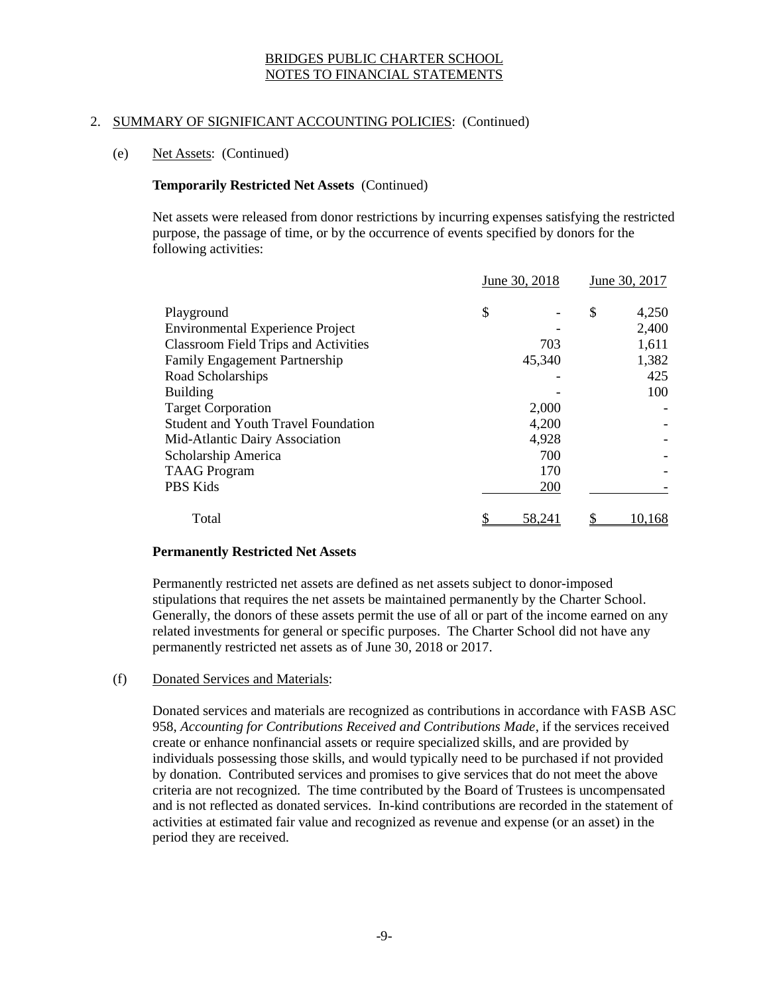# 2. SUMMARY OF SIGNIFICANT ACCOUNTING POLICIES: (Continued)

#### (e) Net Assets: (Continued)

#### **Temporarily Restricted Net Assets** (Continued)

Net assets were released from donor restrictions by incurring expenses satisfying the restricted purpose, the passage of time, or by the occurrence of events specified by donors for the following activities:

|                                             | June 30, 2018 |               | June 30, 2017 |        |
|---------------------------------------------|---------------|---------------|---------------|--------|
| Playground                                  | \$            |               | \$            | 4,250  |
| <b>Environmental Experience Project</b>     |               |               |               | 2,400  |
| <b>Classroom Field Trips and Activities</b> |               | 703           |               | 1,611  |
| <b>Family Engagement Partnership</b>        |               | 45,340        |               | 1,382  |
| Road Scholarships                           |               |               |               | 425    |
| <b>Building</b>                             |               |               |               | 100    |
| <b>Target Corporation</b>                   |               | 2,000         |               |        |
| <b>Student and Youth Travel Foundation</b>  |               | 4,200         |               |        |
| Mid-Atlantic Dairy Association              |               | 4,928         |               |        |
| Scholarship America                         |               | 700           |               |        |
| <b>TAAG</b> Program                         |               | 170           |               |        |
| PBS Kids                                    |               | 200           |               |        |
| Total                                       |               | <u>58,241</u> |               | 10.168 |

### **Permanently Restricted Net Assets**

Permanently restricted net assets are defined as net assets subject to donor-imposed stipulations that requires the net assets be maintained permanently by the Charter School. Generally, the donors of these assets permit the use of all or part of the income earned on any related investments for general or specific purposes. The Charter School did not have any permanently restricted net assets as of June 30, 2018 or 2017.

#### (f) Donated Services and Materials:

Donated services and materials are recognized as contributions in accordance with FASB ASC 958, *Accounting for Contributions Received and Contributions Made*, if the services received create or enhance nonfinancial assets or require specialized skills, and are provided by individuals possessing those skills, and would typically need to be purchased if not provided by donation. Contributed services and promises to give services that do not meet the above criteria are not recognized. The time contributed by the Board of Trustees is uncompensated and is not reflected as donated services. In-kind contributions are recorded in the statement of activities at estimated fair value and recognized as revenue and expense (or an asset) in the period they are received.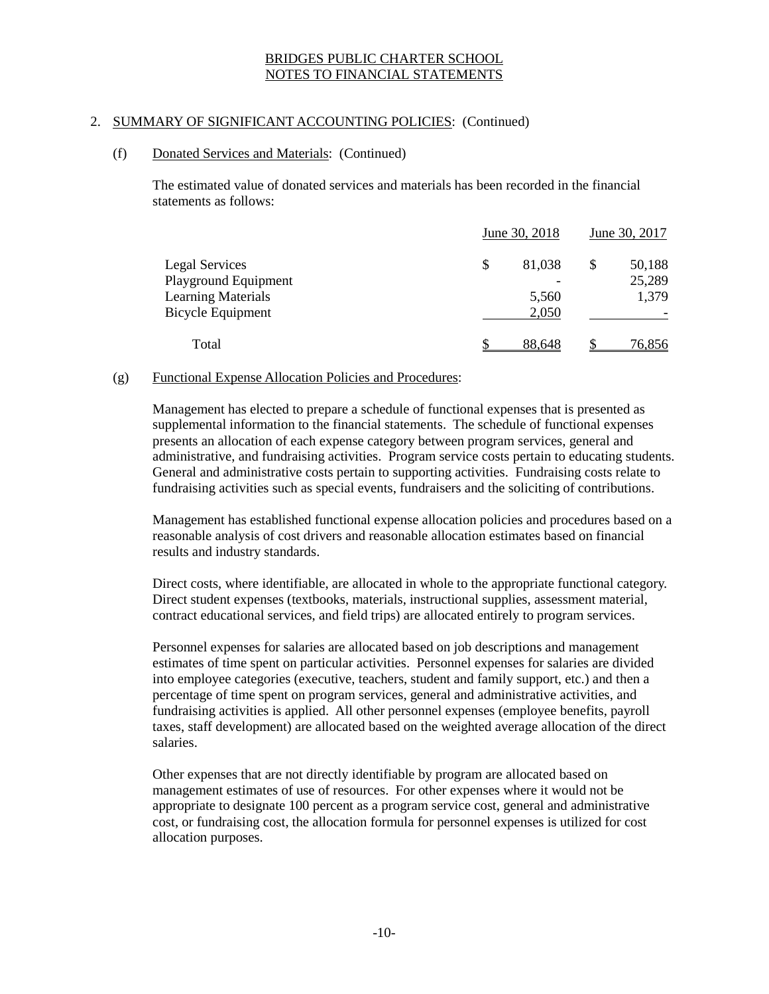# 2. SUMMARY OF SIGNIFICANT ACCOUNTING POLICIES: (Continued)

#### (f) Donated Services and Materials: (Continued)

The estimated value of donated services and materials has been recorded in the financial statements as follows:

|                           |   | June 30, 2018 |  | June 30, 2017 |  |
|---------------------------|---|---------------|--|---------------|--|
| <b>Legal Services</b>     | S | 81,038        |  | 50,188        |  |
| Playground Equipment      |   |               |  | 25,289        |  |
| <b>Learning Materials</b> |   | 5,560         |  | 1,379         |  |
| <b>Bicycle Equipment</b>  |   | 2,050         |  |               |  |
| Total                     |   | 88,648        |  | <u>76,856</u> |  |

#### (g) Functional Expense Allocation Policies and Procedures:

Management has elected to prepare a schedule of functional expenses that is presented as supplemental information to the financial statements. The schedule of functional expenses presents an allocation of each expense category between program services, general and administrative, and fundraising activities. Program service costs pertain to educating students. General and administrative costs pertain to supporting activities. Fundraising costs relate to fundraising activities such as special events, fundraisers and the soliciting of contributions.

Management has established functional expense allocation policies and procedures based on a reasonable analysis of cost drivers and reasonable allocation estimates based on financial results and industry standards.

Direct costs, where identifiable, are allocated in whole to the appropriate functional category. Direct student expenses (textbooks, materials, instructional supplies, assessment material, contract educational services, and field trips) are allocated entirely to program services.

Personnel expenses for salaries are allocated based on job descriptions and management estimates of time spent on particular activities. Personnel expenses for salaries are divided into employee categories (executive, teachers, student and family support, etc.) and then a percentage of time spent on program services, general and administrative activities, and fundraising activities is applied. All other personnel expenses (employee benefits, payroll taxes, staff development) are allocated based on the weighted average allocation of the direct salaries.

Other expenses that are not directly identifiable by program are allocated based on management estimates of use of resources. For other expenses where it would not be appropriate to designate 100 percent as a program service cost, general and administrative cost, or fundraising cost, the allocation formula for personnel expenses is utilized for cost allocation purposes.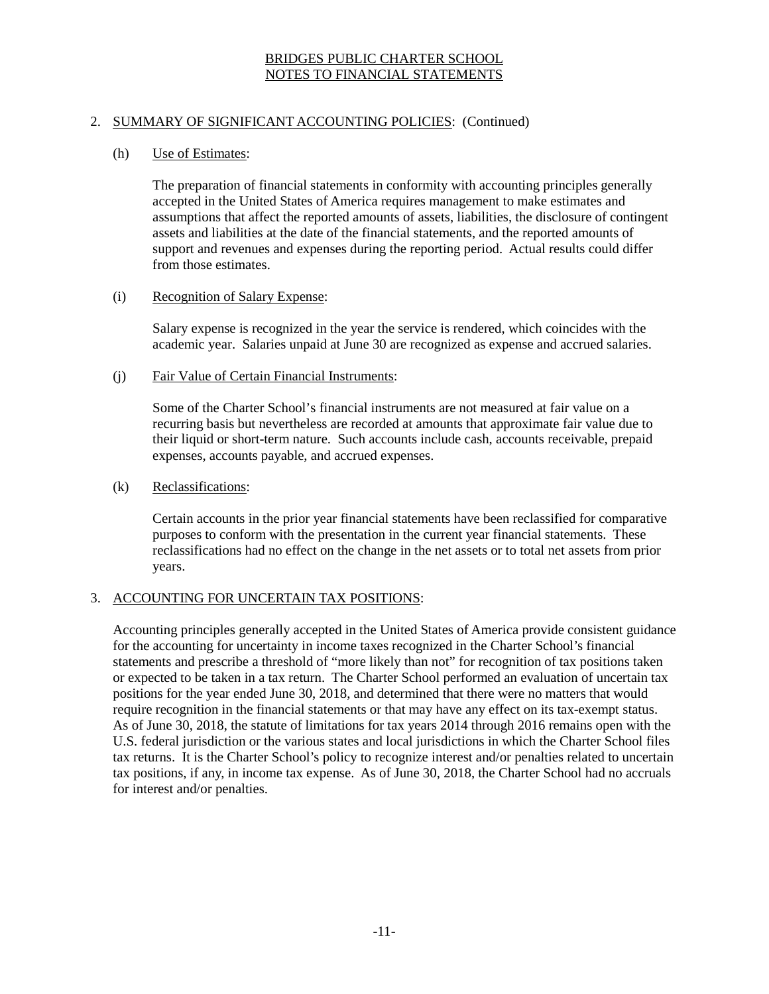# 2. SUMMARY OF SIGNIFICANT ACCOUNTING POLICIES: (Continued)

### (h) Use of Estimates:

The preparation of financial statements in conformity with accounting principles generally accepted in the United States of America requires management to make estimates and assumptions that affect the reported amounts of assets, liabilities, the disclosure of contingent assets and liabilities at the date of the financial statements, and the reported amounts of support and revenues and expenses during the reporting period. Actual results could differ from those estimates.

### (i) Recognition of Salary Expense:

Salary expense is recognized in the year the service is rendered, which coincides with the academic year. Salaries unpaid at June 30 are recognized as expense and accrued salaries.

# (j) Fair Value of Certain Financial Instruments:

Some of the Charter School's financial instruments are not measured at fair value on a recurring basis but nevertheless are recorded at amounts that approximate fair value due to their liquid or short-term nature. Such accounts include cash, accounts receivable, prepaid expenses, accounts payable, and accrued expenses.

# (k) Reclassifications:

Certain accounts in the prior year financial statements have been reclassified for comparative purposes to conform with the presentation in the current year financial statements. These reclassifications had no effect on the change in the net assets or to total net assets from prior years.

# 3. ACCOUNTING FOR UNCERTAIN TAX POSITIONS:

Accounting principles generally accepted in the United States of America provide consistent guidance for the accounting for uncertainty in income taxes recognized in the Charter School's financial statements and prescribe a threshold of "more likely than not" for recognition of tax positions taken or expected to be taken in a tax return. The Charter School performed an evaluation of uncertain tax positions for the year ended June 30, 2018, and determined that there were no matters that would require recognition in the financial statements or that may have any effect on its tax-exempt status. As of June 30, 2018, the statute of limitations for tax years 2014 through 2016 remains open with the U.S. federal jurisdiction or the various states and local jurisdictions in which the Charter School files tax returns. It is the Charter School's policy to recognize interest and/or penalties related to uncertain tax positions, if any, in income tax expense. As of June 30, 2018, the Charter School had no accruals for interest and/or penalties.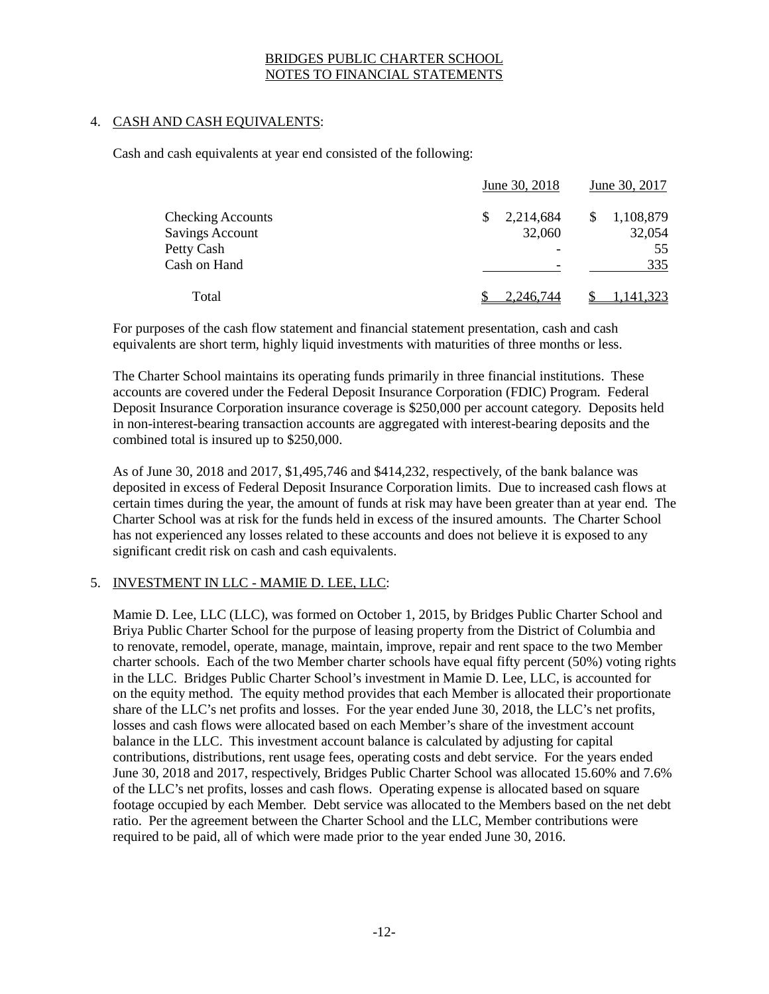# 4. CASH AND CASH EQUIVALENTS:

Cash and cash equivalents at year end consisted of the following:

|                          | June 30, 2018 | June 30, 2017   |  |
|--------------------------|---------------|-----------------|--|
| <b>Checking Accounts</b> | 2,214,684     | 1,108,879<br>\$ |  |
| <b>Savings Account</b>   | 32,060        | 32,054          |  |
| Petty Cash               |               | 55              |  |
| Cash on Hand             |               | 335             |  |
| Total                    | 2.246.744     | 141.323         |  |

For purposes of the cash flow statement and financial statement presentation, cash and cash equivalents are short term, highly liquid investments with maturities of three months or less.

The Charter School maintains its operating funds primarily in three financial institutions. These accounts are covered under the Federal Deposit Insurance Corporation (FDIC) Program. Federal Deposit Insurance Corporation insurance coverage is \$250,000 per account category. Deposits held in non-interest-bearing transaction accounts are aggregated with interest-bearing deposits and the combined total is insured up to \$250,000.

As of June 30, 2018 and 2017, \$1,495,746 and \$414,232, respectively, of the bank balance was deposited in excess of Federal Deposit Insurance Corporation limits. Due to increased cash flows at certain times during the year, the amount of funds at risk may have been greater than at year end. The Charter School was at risk for the funds held in excess of the insured amounts. The Charter School has not experienced any losses related to these accounts and does not believe it is exposed to any significant credit risk on cash and cash equivalents.

### 5. INVESTMENT IN LLC - MAMIE D. LEE, LLC:

Mamie D. Lee, LLC (LLC), was formed on October 1, 2015, by Bridges Public Charter School and Briya Public Charter School for the purpose of leasing property from the District of Columbia and to renovate, remodel, operate, manage, maintain, improve, repair and rent space to the two Member charter schools. Each of the two Member charter schools have equal fifty percent (50%) voting rights in the LLC. Bridges Public Charter School's investment in Mamie D. Lee, LLC, is accounted for on the equity method. The equity method provides that each Member is allocated their proportionate share of the LLC's net profits and losses. For the year ended June 30, 2018, the LLC's net profits, losses and cash flows were allocated based on each Member's share of the investment account balance in the LLC. This investment account balance is calculated by adjusting for capital contributions, distributions, rent usage fees, operating costs and debt service. For the years ended June 30, 2018 and 2017, respectively, Bridges Public Charter School was allocated 15.60% and 7.6% of the LLC's net profits, losses and cash flows. Operating expense is allocated based on square footage occupied by each Member. Debt service was allocated to the Members based on the net debt ratio. Per the agreement between the Charter School and the LLC, Member contributions were required to be paid, all of which were made prior to the year ended June 30, 2016.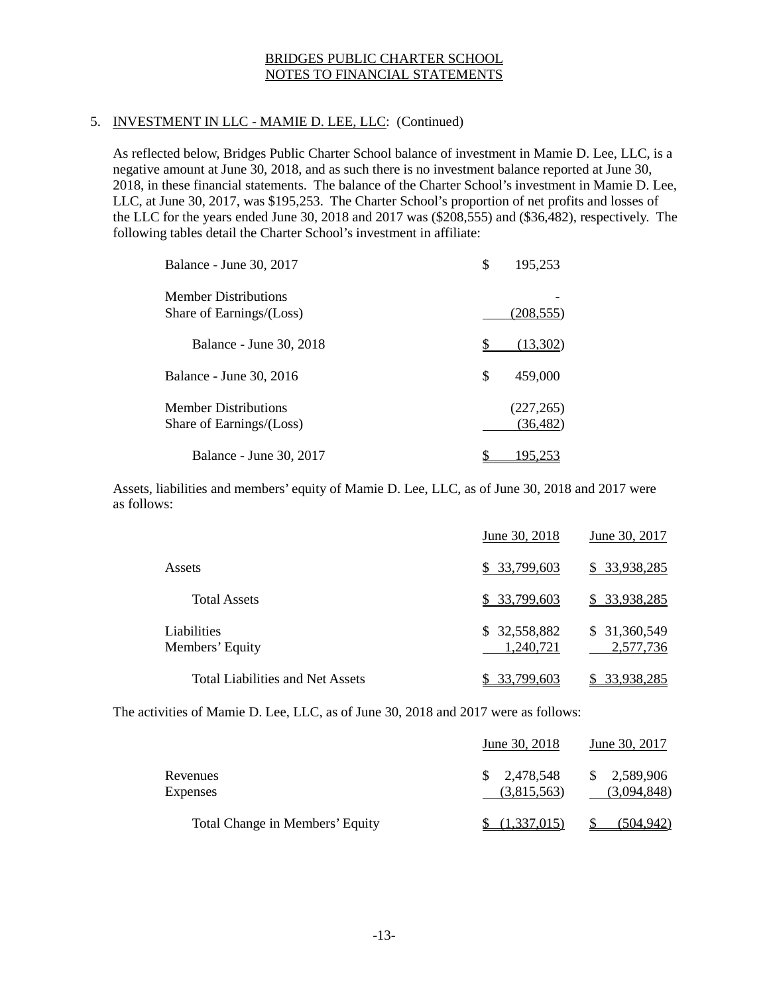# 5. INVESTMENT IN LLC - MAMIE D. LEE, LLC: (Continued)

As reflected below, Bridges Public Charter School balance of investment in Mamie D. Lee, LLC, is a negative amount at June 30, 2018, and as such there is no investment balance reported at June 30, 2018, in these financial statements. The balance of the Charter School's investment in Mamie D. Lee, LLC, at June 30, 2017, was \$195,253. The Charter School's proportion of net profits and losses of the LLC for the years ended June 30, 2018 and 2017 was (\$208,555) and (\$36,482), respectively. The following tables detail the Charter School's investment in affiliate:

| <b>Balance - June 30, 2017</b>                   | \$<br>195,253           |
|--------------------------------------------------|-------------------------|
| Member Distributions<br>Share of Earnings/(Loss) | (208, 555)              |
| Balance - June 30, 2018                          | (13.302)                |
| <b>Balance - June 30, 2016</b>                   | \$<br>459,000           |
| Member Distributions<br>Share of Earnings/(Loss) | (227, 265)<br>(36, 482) |
| Balance - June 30, 2017                          | 195,253                 |

Assets, liabilities and members' equity of Mamie D. Lee, LLC, as of June 30, 2018 and 2017 were as follows:

|                                  | June 30, 2018             | June 30, 2017             |
|----------------------------------|---------------------------|---------------------------|
| Assets                           | \$33,799,603              | \$ 33,938,285             |
| <b>Total Assets</b>              | \$33,799,603              | 33,938,285                |
| Liabilities<br>Members' Equity   | \$32,558,882<br>1,240,721 | \$31,360,549<br>2,577,736 |
| Total Liabilities and Net Assets | 33,799,603                | 33,938,285                |

The activities of Mamie D. Lee, LLC, as of June 30, 2018 and 2017 were as follows:

|                                 | June 30, 2018            | June 30, 2017              |  |
|---------------------------------|--------------------------|----------------------------|--|
| Revenues<br><b>Expenses</b>     | 2,478,548<br>(3,815,563) | \$2,589,906<br>(3,094,848) |  |
| Total Change in Members' Equity | (1.337.015)              | (504.942)                  |  |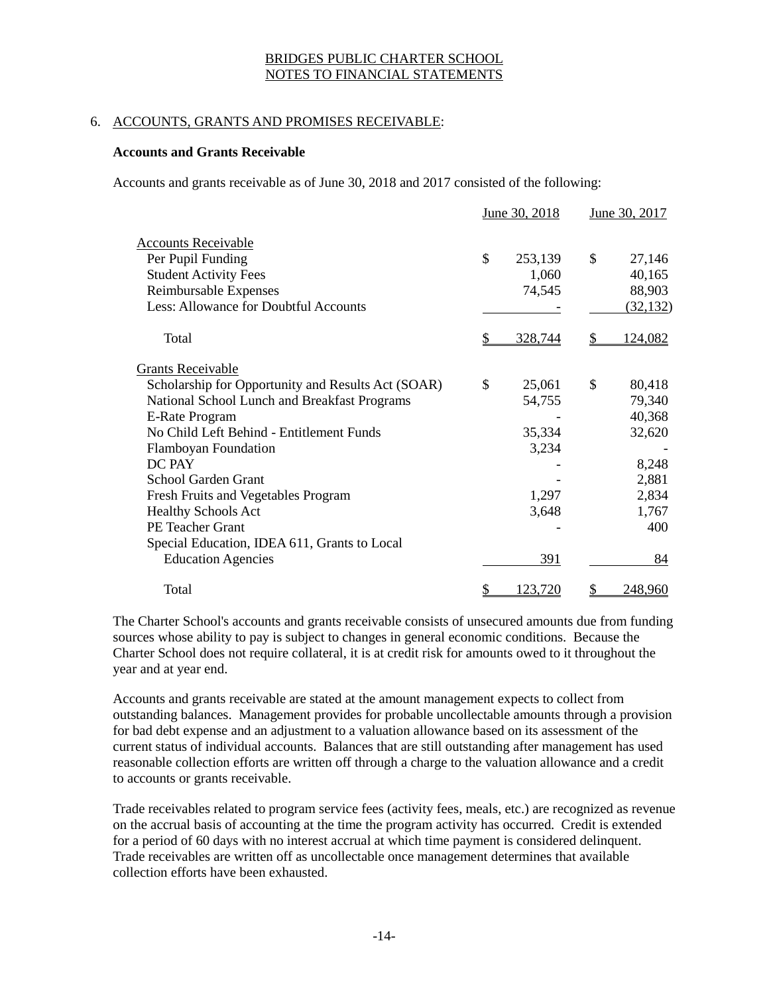# 6. ACCOUNTS, GRANTS AND PROMISES RECEIVABLE:

### **Accounts and Grants Receivable**

Accounts and grants receivable as of June 30, 2018 and 2017 consisted of the following:

|                                                    |    | June 30, 2018 |    | June 30, 2017 |
|----------------------------------------------------|----|---------------|----|---------------|
| <b>Accounts Receivable</b>                         |    |               |    |               |
| Per Pupil Funding                                  | \$ | 253,139       | \$ | 27,146        |
| <b>Student Activity Fees</b>                       |    | 1,060         |    | 40,165        |
| Reimbursable Expenses                              |    | 74,545        |    | 88,903        |
| Less: Allowance for Doubtful Accounts              |    |               |    | (32, 132)     |
| Total                                              |    | 328,744       |    | 124,082       |
| <b>Grants Receivable</b>                           |    |               |    |               |
| Scholarship for Opportunity and Results Act (SOAR) | \$ | 25,061        | \$ | 80,418        |
| National School Lunch and Breakfast Programs       |    | 54,755        |    | 79,340        |
| <b>E-Rate Program</b>                              |    |               |    | 40,368        |
| No Child Left Behind - Entitlement Funds           |    | 35,334        |    | 32,620        |
| <b>Flamboyan Foundation</b>                        |    | 3,234         |    |               |
| DC PAY                                             |    |               |    | 8,248         |
| School Garden Grant                                |    |               |    | 2,881         |
| Fresh Fruits and Vegetables Program                |    | 1,297         |    | 2,834         |
| <b>Healthy Schools Act</b>                         |    | 3,648         |    | 1,767         |
| PE Teacher Grant                                   |    |               |    | 400           |
| Special Education, IDEA 611, Grants to Local       |    |               |    |               |
| <b>Education Agencies</b>                          |    | 391           |    | 84            |
| Total                                              | \$ | 123,720       | \$ | 248,960       |

The Charter School's accounts and grants receivable consists of unsecured amounts due from funding sources whose ability to pay is subject to changes in general economic conditions. Because the Charter School does not require collateral, it is at credit risk for amounts owed to it throughout the year and at year end.

Accounts and grants receivable are stated at the amount management expects to collect from outstanding balances. Management provides for probable uncollectable amounts through a provision for bad debt expense and an adjustment to a valuation allowance based on its assessment of the current status of individual accounts. Balances that are still outstanding after management has used reasonable collection efforts are written off through a charge to the valuation allowance and a credit to accounts or grants receivable.

Trade receivables related to program service fees (activity fees, meals, etc.) are recognized as revenue on the accrual basis of accounting at the time the program activity has occurred. Credit is extended for a period of 60 days with no interest accrual at which time payment is considered delinquent. Trade receivables are written off as uncollectable once management determines that available collection efforts have been exhausted.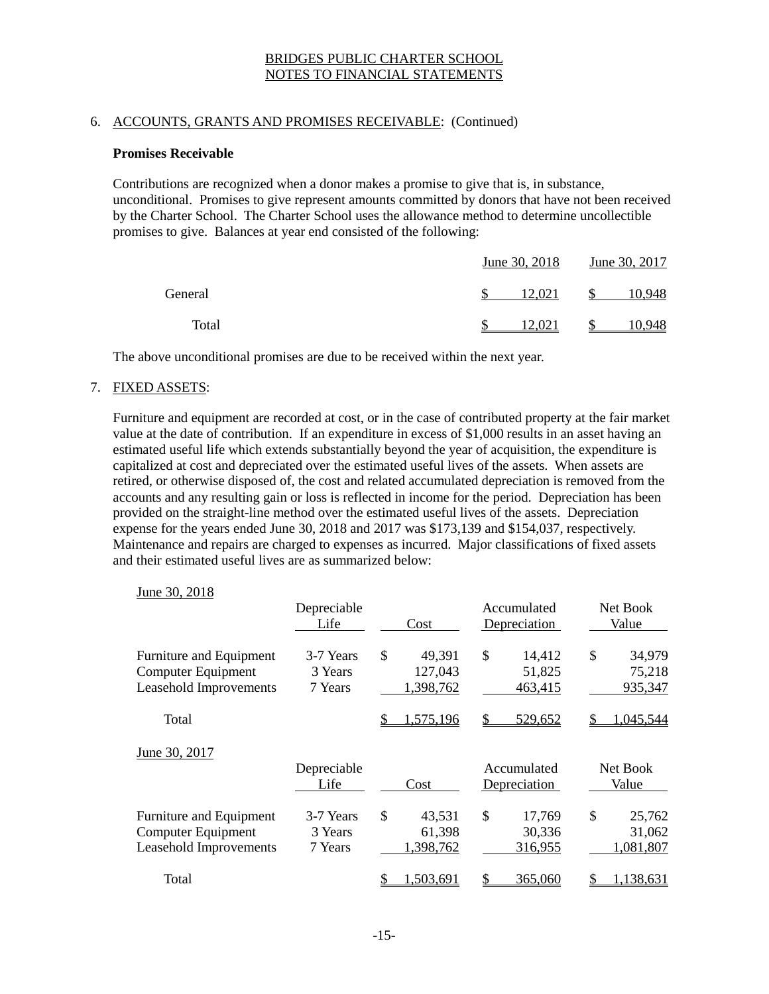# 6. ACCOUNTS, GRANTS AND PROMISES RECEIVABLE: (Continued)

#### **Promises Receivable**

Contributions are recognized when a donor makes a promise to give that is, in substance, unconditional. Promises to give represent amounts committed by donors that have not been received by the Charter School. The Charter School uses the allowance method to determine uncollectible promises to give. Balances at year end consisted of the following:

|         |  |        | June 30, 2018 June 30, 2017 |        |
|---------|--|--------|-----------------------------|--------|
| General |  | 12.021 |                             | 10.948 |
| Total   |  | 12.021 |                             | 10 948 |

The above unconditional promises are due to be received within the next year.

# 7. FIXED ASSETS:

Furniture and equipment are recorded at cost, or in the case of contributed property at the fair market value at the date of contribution. If an expenditure in excess of \$1,000 results in an asset having an estimated useful life which extends substantially beyond the year of acquisition, the expenditure is capitalized at cost and depreciated over the estimated useful lives of the assets. When assets are retired, or otherwise disposed of, the cost and related accumulated depreciation is removed from the accounts and any resulting gain or loss is reflected in income for the period. Depreciation has been provided on the straight-line method over the estimated useful lives of the assets. Depreciation expense for the years ended June 30, 2018 and 2017 was \$173,139 and \$154,037, respectively. Maintenance and repairs are charged to expenses as incurred. Major classifications of fixed assets and their estimated useful lives are as summarized below:

#### June 30, 2018

|                                                                                | Depreciable<br>Life             | Cost                                 | Accumulated<br>Depreciation       | Net Book<br>Value                   |
|--------------------------------------------------------------------------------|---------------------------------|--------------------------------------|-----------------------------------|-------------------------------------|
| Furniture and Equipment<br>Computer Equipment<br><b>Leasehold Improvements</b> | 3-7 Years<br>3 Years<br>7 Years | \$<br>49,391<br>127,043<br>1,398,762 | \$<br>14,412<br>51,825<br>463,415 | \$<br>34,979<br>75,218<br>935,347   |
| Total                                                                          |                                 | 1,575,196                            | 529,652                           | 1,045,544                           |
| June 30, 2017                                                                  | Depreciable<br>Life             | Cost                                 | Accumulated<br>Depreciation       | Net Book<br>Value                   |
| Furniture and Equipment<br><b>Computer Equipment</b><br>Leasehold Improvements | 3-7 Years<br>3 Years<br>7 Years | \$<br>43,531<br>61,398<br>1,398,762  | \$<br>17,769<br>30,336<br>316,955 | \$<br>25,762<br>31,062<br>1,081,807 |
| Total                                                                          |                                 | \$<br>1,503,691                      | \$<br>365,060                     | \$<br>1,138,631                     |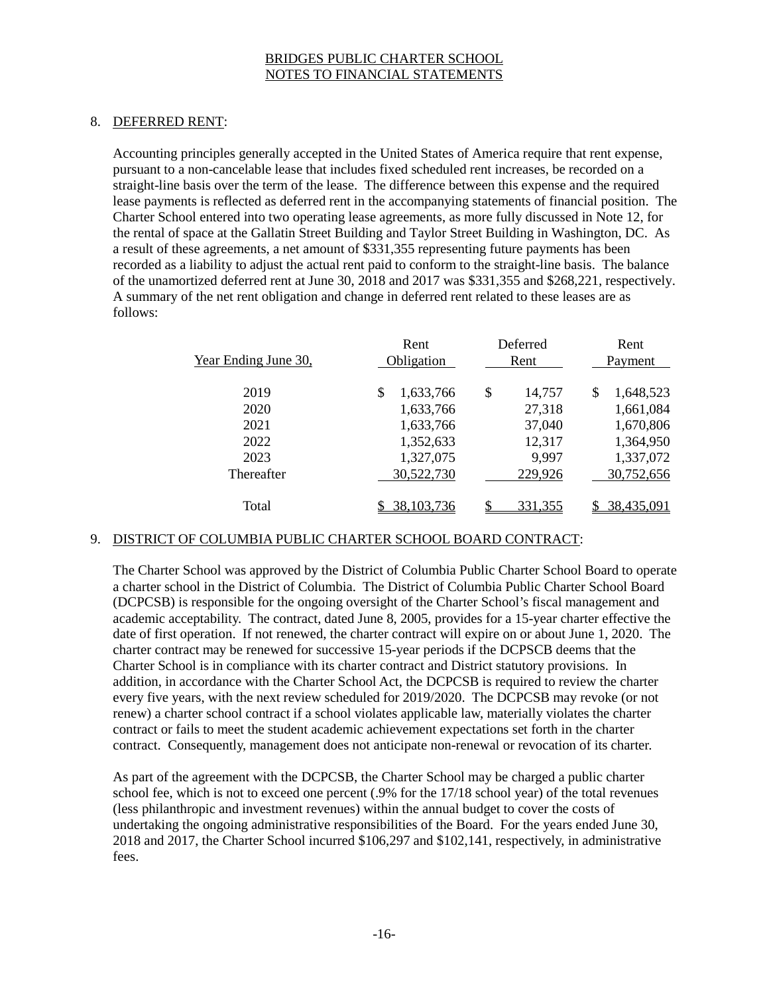### 8. DEFERRED RENT:

Accounting principles generally accepted in the United States of America require that rent expense, pursuant to a non-cancelable lease that includes fixed scheduled rent increases, be recorded on a straight-line basis over the term of the lease. The difference between this expense and the required lease payments is reflected as deferred rent in the accompanying statements of financial position. The Charter School entered into two operating lease agreements, as more fully discussed in Note 12, for the rental of space at the Gallatin Street Building and Taylor Street Building in Washington, DC. As a result of these agreements, a net amount of \$331,355 representing future payments has been recorded as a liability to adjust the actual rent paid to conform to the straight-line basis. The balance of the unamortized deferred rent at June 30, 2018 and 2017 was \$331,355 and \$268,221, respectively. A summary of the net rent obligation and change in deferred rent related to these leases are as follows:

|                      | Rent            | Deferred     | Rent            |  |  |
|----------------------|-----------------|--------------|-----------------|--|--|
| Year Ending June 30, | Obligation      | Rent         | Payment         |  |  |
| 2019                 | \$<br>1,633,766 | \$<br>14,757 | 1,648,523<br>\$ |  |  |
| 2020                 | 1,633,766       | 27,318       | 1,661,084       |  |  |
| 2021                 | 1,633,766       | 37,040       | 1,670,806       |  |  |
| 2022                 | 1,352,633       | 12,317       | 1,364,950       |  |  |
| 2023                 | 1,327,075       | 9,997        | 1,337,072       |  |  |
| Thereafter           | 30,522,730      | 229,926      | 30,752,656      |  |  |
| Total                | 38, 103, 736    | 331,355      | 38,435,091      |  |  |

# 9. DISTRICT OF COLUMBIA PUBLIC CHARTER SCHOOL BOARD CONTRACT:

The Charter School was approved by the District of Columbia Public Charter School Board to operate a charter school in the District of Columbia. The District of Columbia Public Charter School Board (DCPCSB) is responsible for the ongoing oversight of the Charter School's fiscal management and academic acceptability. The contract, dated June 8, 2005, provides for a 15-year charter effective the date of first operation. If not renewed, the charter contract will expire on or about June 1, 2020. The charter contract may be renewed for successive 15-year periods if the DCPSCB deems that the Charter School is in compliance with its charter contract and District statutory provisions. In addition, in accordance with the Charter School Act, the DCPCSB is required to review the charter every five years, with the next review scheduled for 2019/2020. The DCPCSB may revoke (or not renew) a charter school contract if a school violates applicable law, materially violates the charter contract or fails to meet the student academic achievement expectations set forth in the charter contract. Consequently, management does not anticipate non-renewal or revocation of its charter.

As part of the agreement with the DCPCSB, the Charter School may be charged a public charter school fee, which is not to exceed one percent (.9% for the 17/18 school year) of the total revenues (less philanthropic and investment revenues) within the annual budget to cover the costs of undertaking the ongoing administrative responsibilities of the Board. For the years ended June 30, 2018 and 2017, the Charter School incurred \$106,297 and \$102,141, respectively, in administrative fees.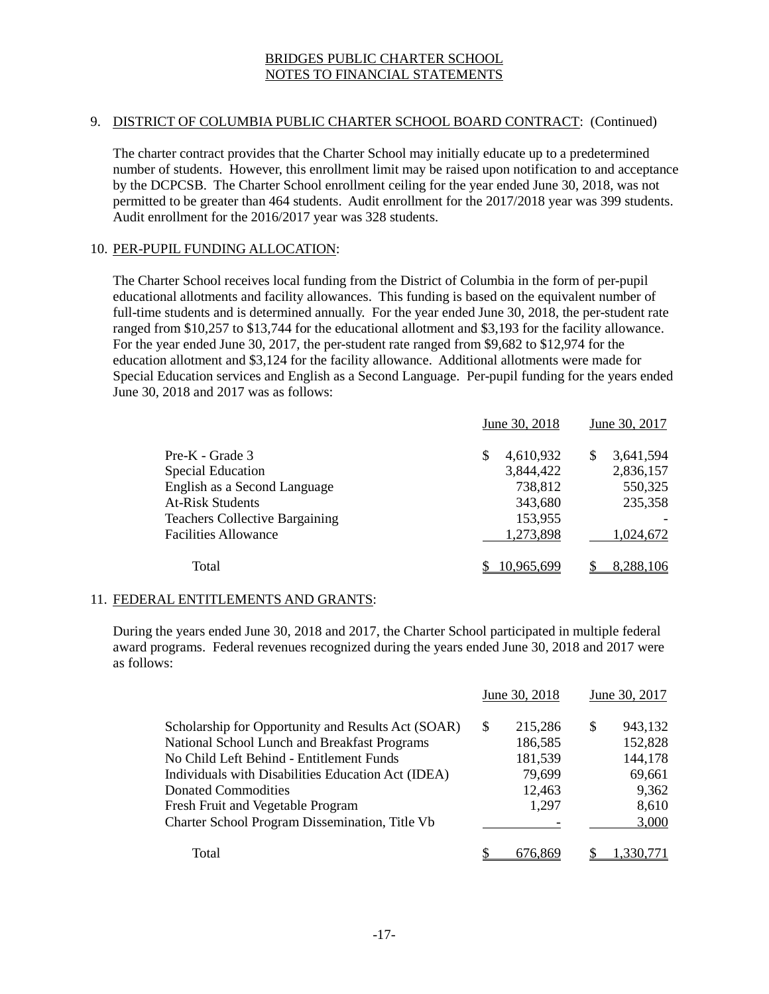# 9. DISTRICT OF COLUMBIA PUBLIC CHARTER SCHOOL BOARD CONTRACT: (Continued)

The charter contract provides that the Charter School may initially educate up to a predetermined number of students. However, this enrollment limit may be raised upon notification to and acceptance by the DCPCSB. The Charter School enrollment ceiling for the year ended June 30, 2018, was not permitted to be greater than 464 students. Audit enrollment for the 2017/2018 year was 399 students. Audit enrollment for the 2016/2017 year was 328 students.

### 10. PER-PUPIL FUNDING ALLOCATION:

The Charter School receives local funding from the District of Columbia in the form of per-pupil educational allotments and facility allowances. This funding is based on the equivalent number of full-time students and is determined annually. For the year ended June 30, 2018, the per-student rate ranged from \$10,257 to \$13,744 for the educational allotment and \$3,193 for the facility allowance. For the year ended June 30, 2017, the per-student rate ranged from \$9,682 to \$12,974 for the education allotment and \$3,124 for the facility allowance. Additional allotments were made for Special Education services and English as a Second Language. Per-pupil funding for the years ended June 30, 2018 and 2017 was as follows:

|                                       | June 30, 2018  | June 30, 2017  |
|---------------------------------------|----------------|----------------|
| Pre-K - Grade 3                       | 4,610,932<br>S | 3,641,594<br>S |
| <b>Special Education</b>              | 3,844,422      | 2,836,157      |
| English as a Second Language          | 738,812        | 550,325        |
| <b>At-Risk Students</b>               | 343,680        | 235,358        |
| <b>Teachers Collective Bargaining</b> | 153,955        |                |
| <b>Facilities Allowance</b>           | 1,273,898      | 1,024,672      |
| Total                                 | 10.965.699     | 8.288.106      |

#### 11. FEDERAL ENTITLEMENTS AND GRANTS:

During the years ended June 30, 2018 and 2017, the Charter School participated in multiple federal award programs. Federal revenues recognized during the years ended June 30, 2018 and 2017 were as follows:

|                                                                                          | June 30, 2018      | June 30, 2017      |
|------------------------------------------------------------------------------------------|--------------------|--------------------|
| Scholarship for Opportunity and Results Act (SOAR)                                       | \$<br>215,286      | 943,132<br>S       |
| National School Lunch and Breakfast Programs<br>No Child Left Behind - Entitlement Funds | 186,585<br>181,539 | 152,828<br>144,178 |
| Individuals with Disabilities Education Act (IDEA)<br>Donated Commodities                | 79,699<br>12,463   | 69,661<br>9,362    |
| Fresh Fruit and Vegetable Program                                                        | 1,297              | 8,610              |
| Charter School Program Dissemination, Title Vb                                           |                    | 3,000              |
| Total                                                                                    |                    |                    |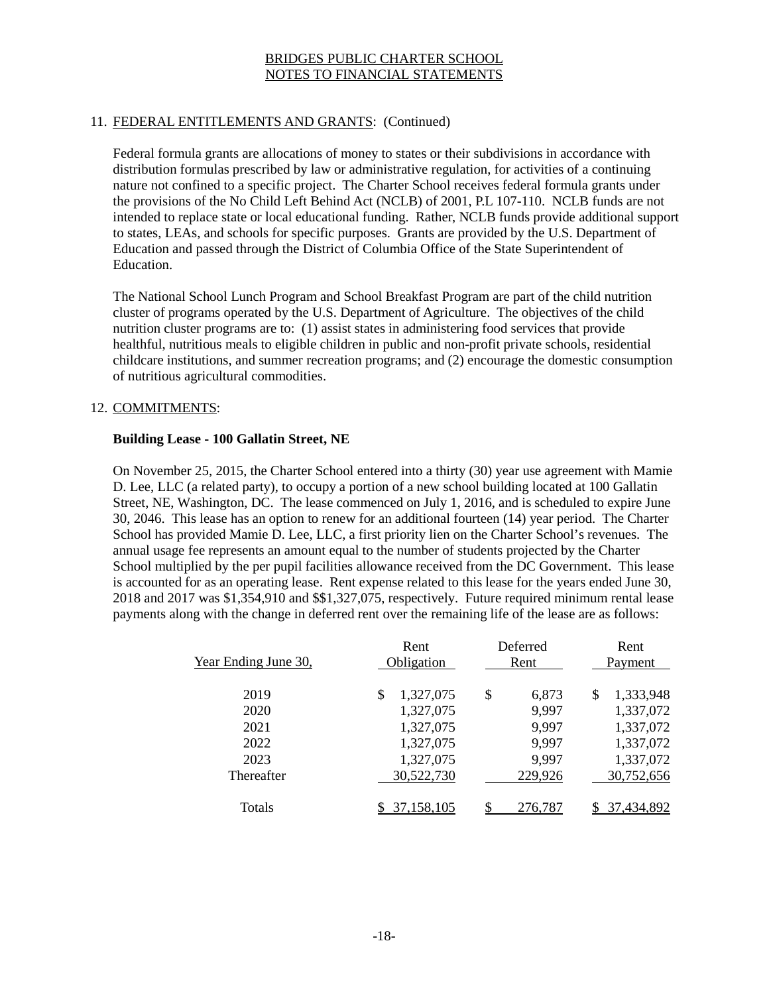# 11. FEDERAL ENTITLEMENTS AND GRANTS: (Continued)

Federal formula grants are allocations of money to states or their subdivisions in accordance with distribution formulas prescribed by law or administrative regulation, for activities of a continuing nature not confined to a specific project. The Charter School receives federal formula grants under the provisions of the No Child Left Behind Act (NCLB) of 2001, P.L 107-110. NCLB funds are not intended to replace state or local educational funding. Rather, NCLB funds provide additional support to states, LEAs, and schools for specific purposes. Grants are provided by the U.S. Department of Education and passed through the District of Columbia Office of the State Superintendent of Education.

The National School Lunch Program and School Breakfast Program are part of the child nutrition cluster of programs operated by the U.S. Department of Agriculture. The objectives of the child nutrition cluster programs are to: (1) assist states in administering food services that provide healthful, nutritious meals to eligible children in public and non-profit private schools, residential childcare institutions, and summer recreation programs; and (2) encourage the domestic consumption of nutritious agricultural commodities.

### 12. COMMITMENTS:

#### **Building Lease - 100 Gallatin Street, NE**

On November 25, 2015, the Charter School entered into a thirty (30) year use agreement with Mamie D. Lee, LLC (a related party), to occupy a portion of a new school building located at 100 Gallatin Street, NE, Washington, DC. The lease commenced on July 1, 2016, and is scheduled to expire June 30, 2046. This lease has an option to renew for an additional fourteen (14) year period. The Charter School has provided Mamie D. Lee, LLC, a first priority lien on the Charter School's revenues. The annual usage fee represents an amount equal to the number of students projected by the Charter School multiplied by the per pupil facilities allowance received from the DC Government. This lease is accounted for as an operating lease. Rent expense related to this lease for the years ended June 30, 2018 and 2017 was \$1,354,910 and \$\$1,327,075, respectively. Future required minimum rental lease payments along with the change in deferred rent over the remaining life of the lease are as follows:

| Year Ending June 30, | Rent<br>Obligation | Deferred<br>Rent | Rent<br>Payment |  |
|----------------------|--------------------|------------------|-----------------|--|
| 2019                 | 1,327,075<br>\$    | \$<br>6,873      | 1,333,948<br>S  |  |
| 2020                 | 1,327,075          | 9,997            | 1,337,072       |  |
| 2021                 | 1,327,075          | 9,997            | 1,337,072       |  |
| 2022                 | 1,327,075          | 9,997            | 1,337,072       |  |
| 2023                 | 1,327,075          | 9,997            | 1,337,072       |  |
| Thereafter           | 30,522,730         | 229,926          | 30,752,656      |  |
| <b>Totals</b>        | 37,158,105         | Φ<br>276,787     | 37,434,892      |  |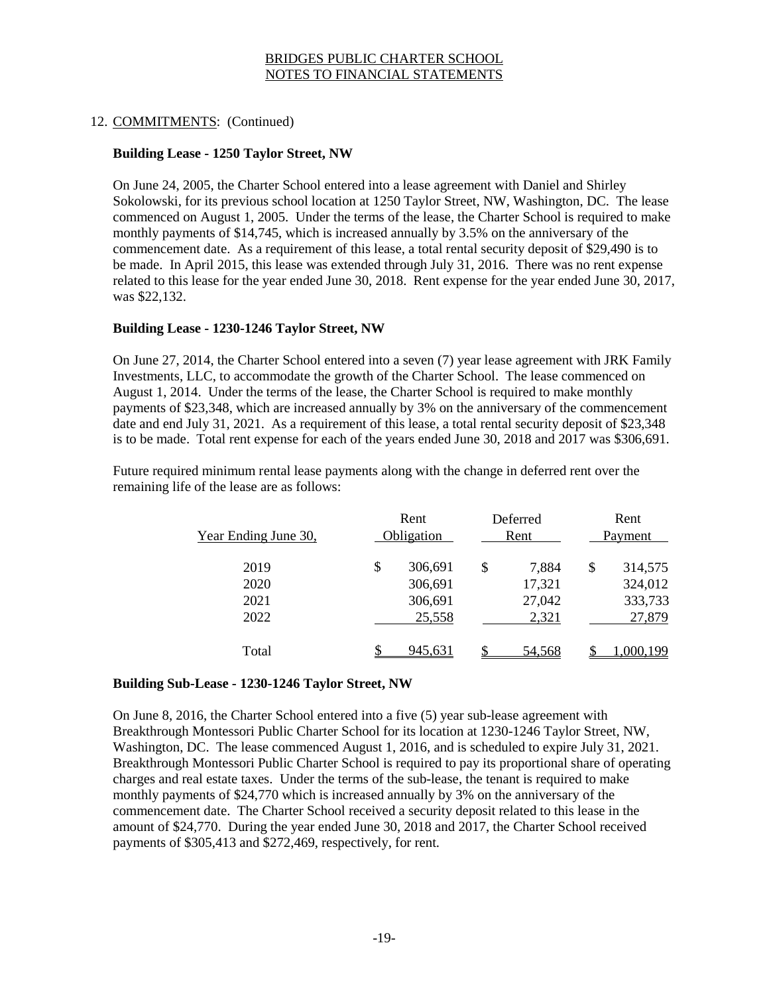# 12. COMMITMENTS: (Continued)

### **Building Lease - 1250 Taylor Street, NW**

On June 24, 2005, the Charter School entered into a lease agreement with Daniel and Shirley Sokolowski, for its previous school location at 1250 Taylor Street, NW, Washington, DC. The lease commenced on August 1, 2005. Under the terms of the lease, the Charter School is required to make monthly payments of \$14,745, which is increased annually by 3.5% on the anniversary of the commencement date. As a requirement of this lease, a total rental security deposit of \$29,490 is to be made. In April 2015, this lease was extended through July 31, 2016. There was no rent expense related to this lease for the year ended June 30, 2018. Rent expense for the year ended June 30, 2017, was \$22,132.

### **Building Lease - 1230-1246 Taylor Street, NW**

On June 27, 2014, the Charter School entered into a seven (7) year lease agreement with JRK Family Investments, LLC, to accommodate the growth of the Charter School. The lease commenced on August 1, 2014. Under the terms of the lease, the Charter School is required to make monthly payments of \$23,348, which are increased annually by 3% on the anniversary of the commencement date and end July 31, 2021. As a requirement of this lease, a total rental security deposit of \$23,348 is to be made. Total rent expense for each of the years ended June 30, 2018 and 2017 was \$306,691.

Future required minimum rental lease payments along with the change in deferred rent over the remaining life of the lease are as follows:

| Year Ending June 30, | Rent<br>Obligation |    | Deferred<br>Rent |    | Rent<br>Payment |  |
|----------------------|--------------------|----|------------------|----|-----------------|--|
| 2019                 | \$<br>306,691      | \$ | 7,884            | \$ | 314,575         |  |
| 2020                 | 306,691            |    | 17,321           |    | 324,012         |  |
| 2021                 | 306,691            |    | 27,042           |    | 333,733         |  |
| 2022                 | 25,558             |    | 2,321            |    | 27,879          |  |
| Total                | \$<br>945,631      |    | 54.568           |    |                 |  |

### **Building Sub-Lease - 1230-1246 Taylor Street, NW**

On June 8, 2016, the Charter School entered into a five (5) year sub-lease agreement with Breakthrough Montessori Public Charter School for its location at 1230-1246 Taylor Street, NW, Washington, DC. The lease commenced August 1, 2016, and is scheduled to expire July 31, 2021. Breakthrough Montessori Public Charter School is required to pay its proportional share of operating charges and real estate taxes. Under the terms of the sub-lease, the tenant is required to make monthly payments of \$24,770 which is increased annually by 3% on the anniversary of the commencement date. The Charter School received a security deposit related to this lease in the amount of \$24,770. During the year ended June 30, 2018 and 2017, the Charter School received payments of \$305,413 and \$272,469, respectively, for rent.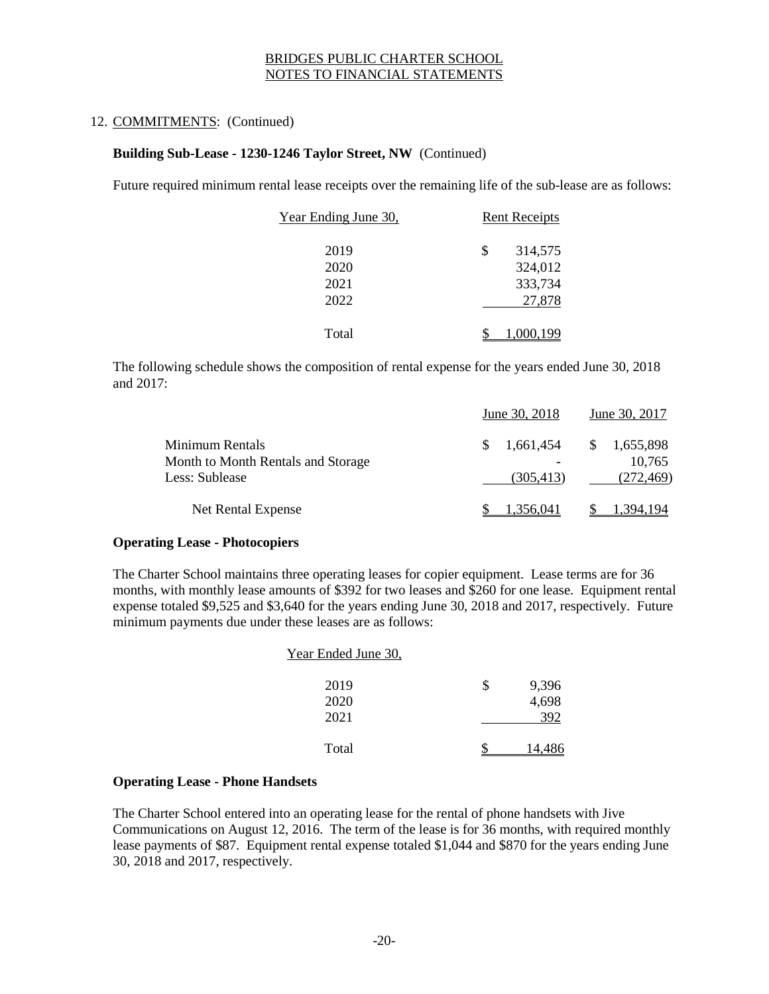# 12. COMMITMENTS: (Continued)

## **Building Sub-Lease - 1230-1246 Taylor Street, NW** (Continued)

Future required minimum rental lease receipts over the remaining life of the sub-lease are as follows:

| Year Ending June 30, | <b>Rent Receipts</b> |
|----------------------|----------------------|
| 2019                 | 314,575<br>S         |
| 2020                 | 324,012              |
| 2021                 | 333,734              |
| 2022                 | 27,878               |
| Total                |                      |

The following schedule shows the composition of rental expense for the years ended June 30, 2018 and 2017:

|                                    | June 30, 2018 | June 30, 2017          |
|------------------------------------|---------------|------------------------|
| Minimum Rentals                    |               | 1,661,454 \$ 1,655,898 |
| Month to Month Rentals and Storage |               | 10,765                 |
| Less: Sublease                     | (305.413)     | (272, 469)             |
| Net Rental Expense                 | 1,356,041     | 1.394.194              |

### **Operating Lease - Photocopiers**

The Charter School maintains three operating leases for copier equipment. Lease terms are for 36 months, with monthly lease amounts of \$392 for two leases and \$260 for one lease. Equipment rental expense totaled \$9,525 and \$3,640 for the years ending June 30, 2018 and 2017, respectively. Future minimum payments due under these leases are as follows:

| Year Ended June 30,  |                             |
|----------------------|-----------------------------|
| 2019<br>2020<br>2021 | \$<br>9,396<br>4,698<br>392 |
| Total                |                             |

### **Operating Lease - Phone Handsets**

The Charter School entered into an operating lease for the rental of phone handsets with Jive Communications on August 12, 2016. The term of the lease is for 36 months, with required monthly lease payments of \$87. Equipment rental expense totaled \$1,044 and \$870 for the years ending June 30, 2018 and 2017, respectively.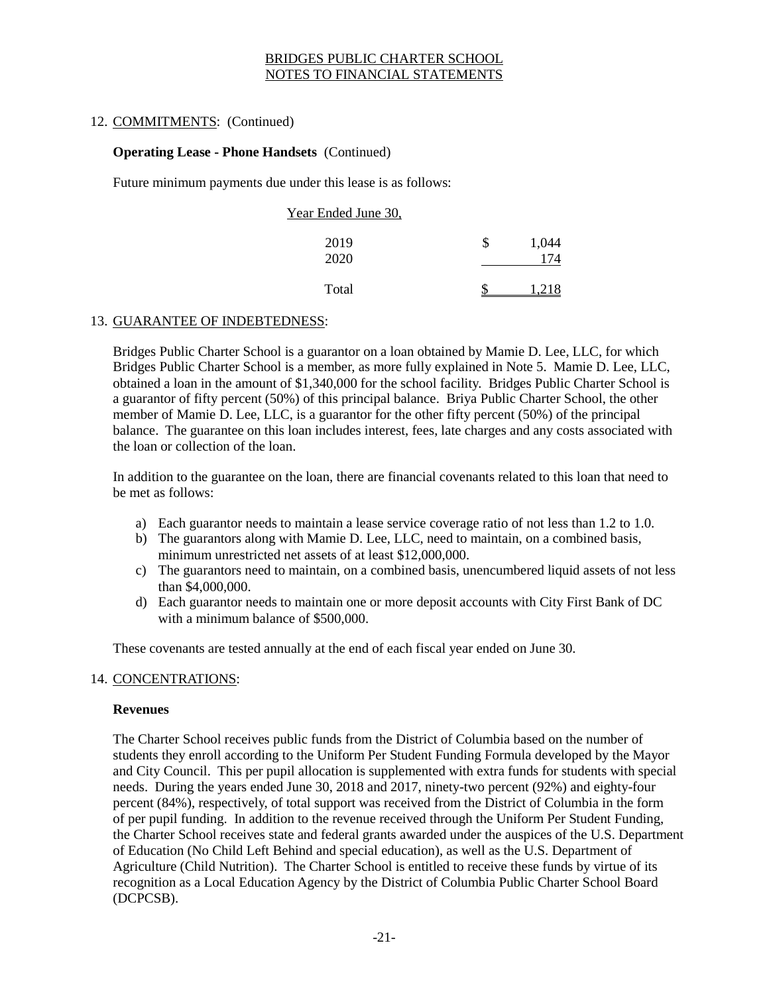# 12. COMMITMENTS: (Continued)

# **Operating Lease - Phone Handsets** (Continued)

Future minimum payments due under this lease is as follows:

# Year Ended June 30,

| 2019<br>2020 | \$<br>1,044<br>174 |
|--------------|--------------------|
| Total        |                    |

# 13. GUARANTEE OF INDEBTEDNESS:

Bridges Public Charter School is a guarantor on a loan obtained by Mamie D. Lee, LLC, for which Bridges Public Charter School is a member, as more fully explained in Note 5. Mamie D. Lee, LLC, obtained a loan in the amount of \$1,340,000 for the school facility. Bridges Public Charter School is a guarantor of fifty percent (50%) of this principal balance. Briya Public Charter School, the other member of Mamie D. Lee, LLC, is a guarantor for the other fifty percent (50%) of the principal balance. The guarantee on this loan includes interest, fees, late charges and any costs associated with the loan or collection of the loan.

In addition to the guarantee on the loan, there are financial covenants related to this loan that need to be met as follows:

- a) Each guarantor needs to maintain a lease service coverage ratio of not less than 1.2 to 1.0.
- b) The guarantors along with Mamie D. Lee, LLC, need to maintain, on a combined basis, minimum unrestricted net assets of at least \$12,000,000.
- c) The guarantors need to maintain, on a combined basis, unencumbered liquid assets of not less than \$4,000,000.
- d) Each guarantor needs to maintain one or more deposit accounts with City First Bank of DC with a minimum balance of \$500,000.

These covenants are tested annually at the end of each fiscal year ended on June 30.

### 14. CONCENTRATIONS:

### **Revenues**

The Charter School receives public funds from the District of Columbia based on the number of students they enroll according to the Uniform Per Student Funding Formula developed by the Mayor and City Council. This per pupil allocation is supplemented with extra funds for students with special needs. During the years ended June 30, 2018 and 2017, ninety-two percent (92%) and eighty-four percent (84%), respectively, of total support was received from the District of Columbia in the form of per pupil funding. In addition to the revenue received through the Uniform Per Student Funding, the Charter School receives state and federal grants awarded under the auspices of the U.S. Department of Education (No Child Left Behind and special education), as well as the U.S. Department of Agriculture (Child Nutrition). The Charter School is entitled to receive these funds by virtue of its recognition as a Local Education Agency by the District of Columbia Public Charter School Board (DCPCSB).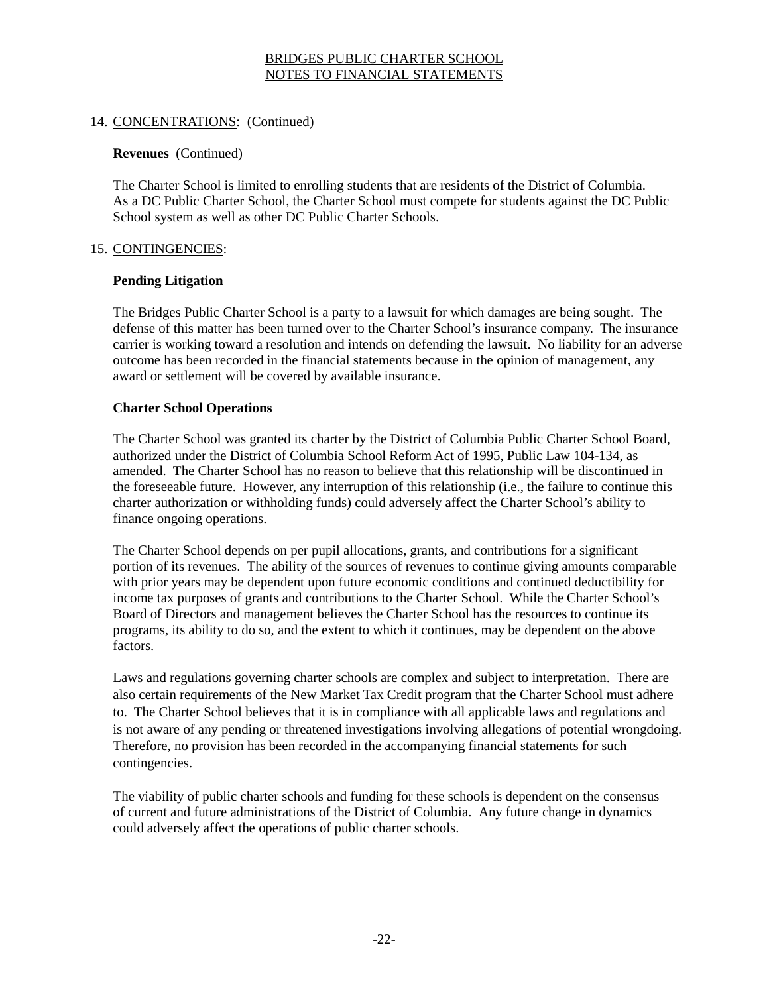### 14. CONCENTRATIONS: (Continued)

### **Revenues** (Continued)

The Charter School is limited to enrolling students that are residents of the District of Columbia. As a DC Public Charter School, the Charter School must compete for students against the DC Public School system as well as other DC Public Charter Schools.

### 15. CONTINGENCIES:

### **Pending Litigation**

The Bridges Public Charter School is a party to a lawsuit for which damages are being sought. The defense of this matter has been turned over to the Charter School's insurance company. The insurance carrier is working toward a resolution and intends on defending the lawsuit. No liability for an adverse outcome has been recorded in the financial statements because in the opinion of management, any award or settlement will be covered by available insurance.

### **Charter School Operations**

The Charter School was granted its charter by the District of Columbia Public Charter School Board, authorized under the District of Columbia School Reform Act of 1995, Public Law 104-134, as amended. The Charter School has no reason to believe that this relationship will be discontinued in the foreseeable future. However, any interruption of this relationship (i.e., the failure to continue this charter authorization or withholding funds) could adversely affect the Charter School's ability to finance ongoing operations.

The Charter School depends on per pupil allocations, grants, and contributions for a significant portion of its revenues. The ability of the sources of revenues to continue giving amounts comparable with prior years may be dependent upon future economic conditions and continued deductibility for income tax purposes of grants and contributions to the Charter School. While the Charter School's Board of Directors and management believes the Charter School has the resources to continue its programs, its ability to do so, and the extent to which it continues, may be dependent on the above factors.

Laws and regulations governing charter schools are complex and subject to interpretation. There are also certain requirements of the New Market Tax Credit program that the Charter School must adhere to. The Charter School believes that it is in compliance with all applicable laws and regulations and is not aware of any pending or threatened investigations involving allegations of potential wrongdoing. Therefore, no provision has been recorded in the accompanying financial statements for such contingencies.

The viability of public charter schools and funding for these schools is dependent on the consensus of current and future administrations of the District of Columbia. Any future change in dynamics could adversely affect the operations of public charter schools.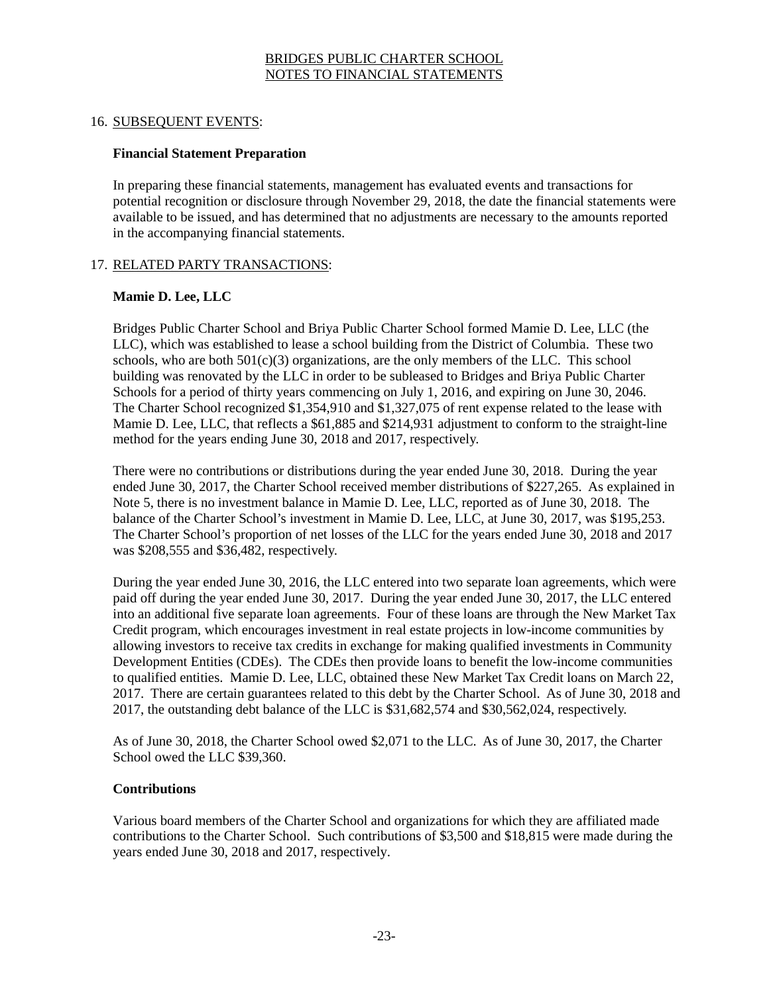#### 16. SUBSEQUENT EVENTS:

#### **Financial Statement Preparation**

In preparing these financial statements, management has evaluated events and transactions for potential recognition or disclosure through November 29, 2018, the date the financial statements were available to be issued, and has determined that no adjustments are necessary to the amounts reported in the accompanying financial statements.

### 17. RELATED PARTY TRANSACTIONS:

### **Mamie D. Lee, LLC**

Bridges Public Charter School and Briya Public Charter School formed Mamie D. Lee, LLC (the LLC), which was established to lease a school building from the District of Columbia. These two schools, who are both  $501(c)(3)$  organizations, are the only members of the LLC. This school building was renovated by the LLC in order to be subleased to Bridges and Briya Public Charter Schools for a period of thirty years commencing on July 1, 2016, and expiring on June 30, 2046. The Charter School recognized \$1,354,910 and \$1,327,075 of rent expense related to the lease with Mamie D. Lee, LLC, that reflects a \$61,885 and \$214,931 adjustment to conform to the straight-line method for the years ending June 30, 2018 and 2017, respectively.

There were no contributions or distributions during the year ended June 30, 2018. During the year ended June 30, 2017, the Charter School received member distributions of \$227,265. As explained in Note 5, there is no investment balance in Mamie D. Lee, LLC, reported as of June 30, 2018. The balance of the Charter School's investment in Mamie D. Lee, LLC, at June 30, 2017, was \$195,253. The Charter School's proportion of net losses of the LLC for the years ended June 30, 2018 and 2017 was \$208,555 and \$36,482, respectively.

During the year ended June 30, 2016, the LLC entered into two separate loan agreements, which were paid off during the year ended June 30, 2017. During the year ended June 30, 2017, the LLC entered into an additional five separate loan agreements. Four of these loans are through the New Market Tax Credit program, which encourages investment in real estate projects in low-income communities by allowing investors to receive tax credits in exchange for making qualified investments in Community Development Entities (CDEs). The CDEs then provide loans to benefit the low-income communities to qualified entities. Mamie D. Lee, LLC, obtained these New Market Tax Credit loans on March 22, 2017. There are certain guarantees related to this debt by the Charter School. As of June 30, 2018 and 2017, the outstanding debt balance of the LLC is \$31,682,574 and \$30,562,024, respectively.

As of June 30, 2018, the Charter School owed \$2,071 to the LLC. As of June 30, 2017, the Charter School owed the LLC \$39,360.

### **Contributions**

Various board members of the Charter School and organizations for which they are affiliated made contributions to the Charter School. Such contributions of \$3,500 and \$18,815 were made during the years ended June 30, 2018 and 2017, respectively.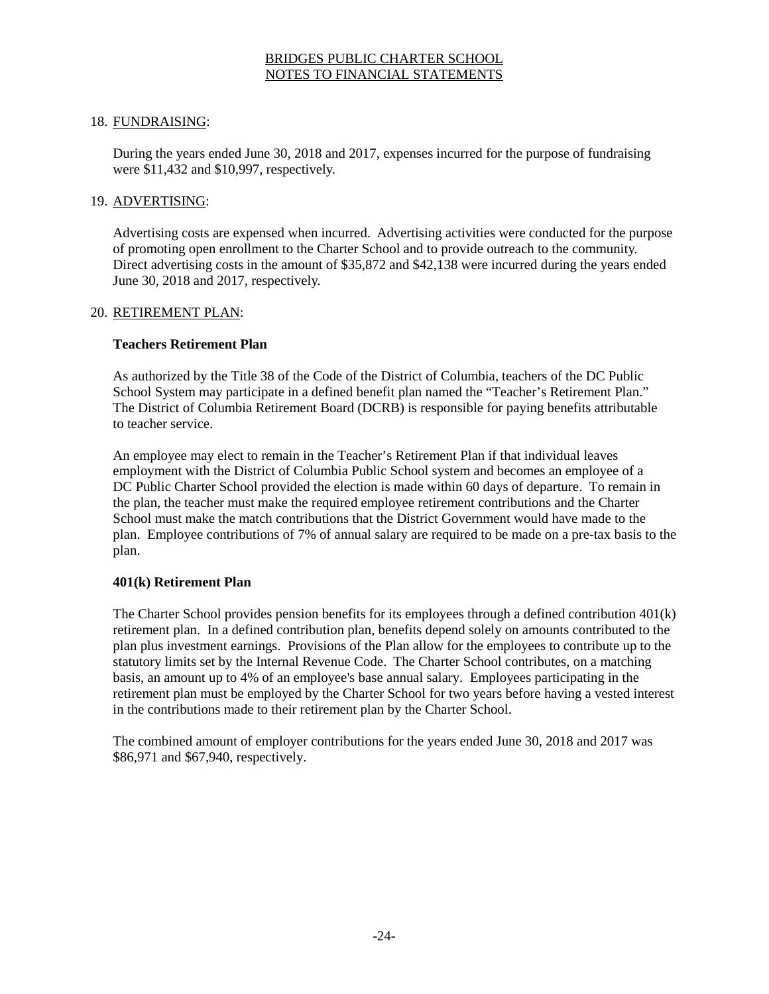### 18. FUNDRAISING:

During the years ended June 30, 2018 and 2017, expenses incurred for the purpose of fundraising were \$11,432 and \$10,997, respectively.

### 19. ADVERTISING:

Advertising costs are expensed when incurred. Advertising activities were conducted for the purpose of promoting open enrollment to the Charter School and to provide outreach to the community. Direct advertising costs in the amount of \$35,872 and \$42,138 were incurred during the years ended June 30, 2018 and 2017, respectively.

### 20. RETIREMENT PLAN:

### **Teachers Retirement Plan**

As authorized by the Title 38 of the Code of the District of Columbia, teachers of the DC Public School System may participate in a defined benefit plan named the "Teacher's Retirement Plan." The District of Columbia Retirement Board (DCRB) is responsible for paying benefits attributable to teacher service.

An employee may elect to remain in the Teacher's Retirement Plan if that individual leaves employment with the District of Columbia Public School system and becomes an employee of a DC Public Charter School provided the election is made within 60 days of departure. To remain in the plan, the teacher must make the required employee retirement contributions and the Charter School must make the match contributions that the District Government would have made to the plan. Employee contributions of 7% of annual salary are required to be made on a pre-tax basis to the plan.

### **401(k) Retirement Plan**

The Charter School provides pension benefits for its employees through a defined contribution 401(k) retirement plan. In a defined contribution plan, benefits depend solely on amounts contributed to the plan plus investment earnings. Provisions of the Plan allow for the employees to contribute up to the statutory limits set by the Internal Revenue Code. The Charter School contributes, on a matching basis, an amount up to 4% of an employee's base annual salary. Employees participating in the retirement plan must be employed by the Charter School for two years before having a vested interest in the contributions made to their retirement plan by the Charter School.

The combined amount of employer contributions for the years ended June 30, 2018 and 2017 was \$86,971 and \$67,940, respectively.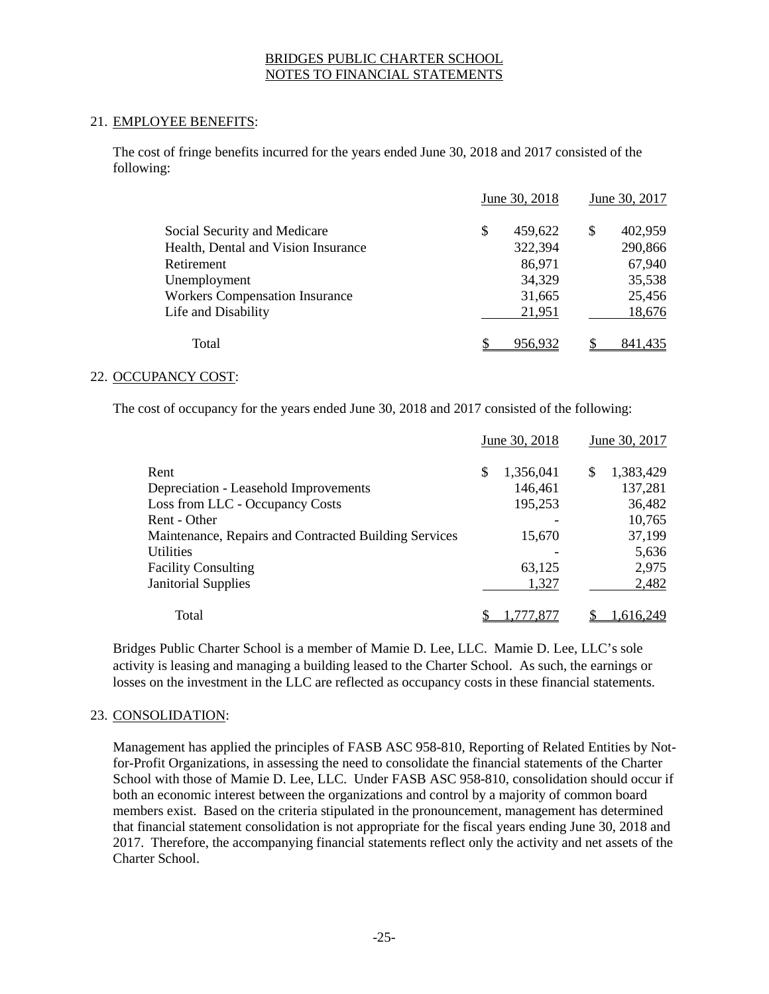### 21. EMPLOYEE BENEFITS:

The cost of fringe benefits incurred for the years ended June 30, 2018 and 2017 consisted of the following:

|                                       | June 30, 2018 |         | June 30, 2017 |         |
|---------------------------------------|---------------|---------|---------------|---------|
| Social Security and Medicare          | \$            | 459,622 | S             | 402,959 |
| Health, Dental and Vision Insurance   |               | 322,394 |               | 290,866 |
| Retirement                            |               | 86,971  |               | 67,940  |
| Unemployment                          |               | 34,329  |               | 35,538  |
| <b>Workers Compensation Insurance</b> |               | 31,665  |               | 25,456  |
| Life and Disability                   |               | 21,951  |               | 18,676  |
| Total                                 |               | 956.932 |               | 841,435 |

# 22. OCCUPANCY COST:

The cost of occupancy for the years ended June 30, 2018 and 2017 consisted of the following:

|                                                       | June 30, 2018   | June 30, 2017  |  |  |
|-------------------------------------------------------|-----------------|----------------|--|--|
| Rent                                                  | \$<br>1,356,041 | 1,383,429<br>S |  |  |
| Depreciation - Leasehold Improvements                 | 146,461         | 137,281        |  |  |
| Loss from LLC - Occupancy Costs                       | 195,253         | 36,482         |  |  |
| Rent - Other                                          |                 | 10,765         |  |  |
| Maintenance, Repairs and Contracted Building Services | 15,670          | 37,199         |  |  |
| Utilities                                             |                 | 5,636          |  |  |
| <b>Facility Consulting</b>                            | 63,125          | 2,975          |  |  |
| <b>Janitorial Supplies</b>                            | 1,327           | 2,482          |  |  |
| Total                                                 | 77.877          | 1,616,249      |  |  |

Bridges Public Charter School is a member of Mamie D. Lee, LLC. Mamie D. Lee, LLC's sole activity is leasing and managing a building leased to the Charter School. As such, the earnings or losses on the investment in the LLC are reflected as occupancy costs in these financial statements.

### 23. CONSOLIDATION:

Management has applied the principles of FASB ASC 958-810, Reporting of Related Entities by Notfor-Profit Organizations, in assessing the need to consolidate the financial statements of the Charter School with those of Mamie D. Lee, LLC. Under FASB ASC 958-810, consolidation should occur if both an economic interest between the organizations and control by a majority of common board members exist. Based on the criteria stipulated in the pronouncement, management has determined that financial statement consolidation is not appropriate for the fiscal years ending June 30, 2018 and 2017. Therefore, the accompanying financial statements reflect only the activity and net assets of the Charter School.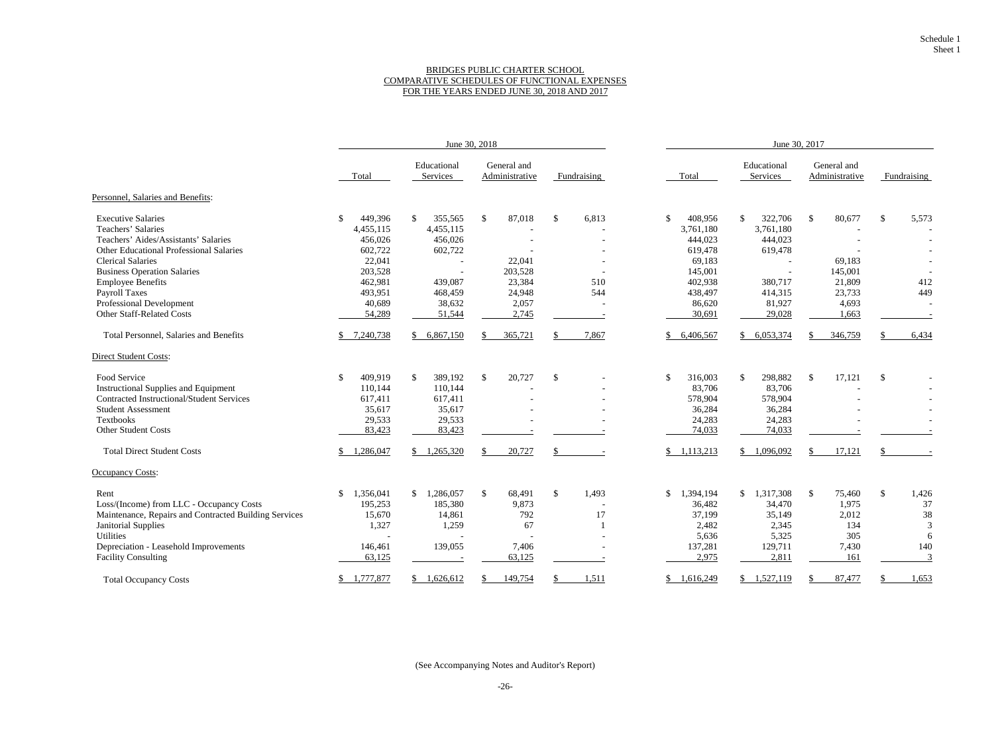#### BRIDGES PUBLIC CHARTER SCHOOL COMPARATIVE SCHEDULES OF FUNCTIONAL EXPENSES FOR THE YEARS ENDED JUNE 30, 2018 AND 2017

|                                                       | June 30, 2018             |                          |                               | June 30, 2017          |                           |                         |                               |                       |
|-------------------------------------------------------|---------------------------|--------------------------|-------------------------------|------------------------|---------------------------|-------------------------|-------------------------------|-----------------------|
|                                                       | Total                     | Educational<br>Services  | General and<br>Administrative | Fundraising            | Total                     | Educational<br>Services | General and<br>Administrative | Fundraising           |
| Personnel, Salaries and Benefits:                     |                           |                          |                               |                        |                           |                         |                               |                       |
| <b>Executive Salaries</b>                             | 449,396<br>$\mathcal{S}$  | 355,565<br><sup>\$</sup> | 87,018<br>-\$                 | $\mathcal{S}$<br>6,813 | $\mathcal{S}$<br>408,956  | 322,706<br>\$.          | 80,677<br>$\mathcal{S}$       | $\mathbb{S}$<br>5,573 |
| Teachers' Salaries                                    | 4,455,115                 | 4,455,115                |                               |                        | 3,761,180                 | 3,761,180               |                               |                       |
| Teachers' Aides/Assistants' Salaries                  | 456,026                   | 456,026                  |                               |                        | 444,023                   | 444,023                 |                               |                       |
| <b>Other Educational Professional Salaries</b>        | 602,722                   | 602,722                  |                               |                        | 619,478                   | 619,478                 |                               |                       |
| <b>Clerical Salaries</b>                              | 22,041                    |                          | 22,041                        |                        | 69,183                    |                         | 69,183                        |                       |
| <b>Business Operation Salaries</b>                    | 203,528                   |                          | 203,528                       |                        | 145,001                   |                         | 145,001                       |                       |
| <b>Employee Benefits</b>                              | 462,981                   | 439,087                  | 23,384                        | 510                    | 402,938                   | 380,717                 | 21,809                        | 412                   |
| <b>Payroll Taxes</b>                                  | 493,951                   | 468,459                  | 24,948                        | 544                    | 438,497                   | 414,315                 | 23,733                        | 449                   |
| Professional Development                              | 40,689                    | 38,632                   | 2,057                         |                        | 86,620                    | 81,927                  | 4,693                         |                       |
| Other Staff-Related Costs                             | 54,289                    | 51,544                   | 2,745                         |                        | 30,691                    | 29,028                  | 1,663                         |                       |
| Total Personnel, Salaries and Benefits                | 7,240,738                 | 6,867,150                | 365,721                       | 7,867                  | 6,406,567<br>\$.          | 6,053,374               | 346,759                       | 6,434                 |
| <b>Direct Student Costs:</b>                          |                           |                          |                               |                        |                           |                         |                               |                       |
| Food Service                                          | $\mathcal{S}$<br>409,919  | 389,192<br><sup>\$</sup> | 20,727<br>$\mathbb{S}$        | $\mathcal{S}$          | <sup>\$</sup><br>316,003  | $\mathbb{S}$<br>298,882 | $\mathcal{S}$<br>17,121       | $\mathcal{S}$         |
| <b>Instructional Supplies and Equipment</b>           | 110,144                   | 110,144                  |                               |                        | 83,706                    | 83,706                  |                               |                       |
| <b>Contracted Instructional/Student Services</b>      | 617,411                   | 617,411                  |                               |                        | 578,904                   | 578,904                 |                               |                       |
| <b>Student Assessment</b>                             | 35,617                    | 35,617                   |                               |                        | 36,284                    | 36,284                  |                               |                       |
| Textbooks                                             | 29,533                    | 29,533                   |                               |                        | 24,283                    | 24,283                  |                               |                       |
| Other Student Costs                                   | 83,423                    | 83,423                   |                               |                        | 74,033                    | 74,033                  |                               |                       |
| <b>Total Direct Student Costs</b>                     | 1,286,047                 | \$1,265,320              | 20,727                        |                        | \$1,113,213               | \$1,096,092             | 17,121                        |                       |
| <b>Occupancy Costs:</b>                               |                           |                          |                               |                        |                           |                         |                               |                       |
| Rent                                                  | 1,356,041<br>$\mathbb{S}$ | 1,286,057<br>\$.         | 68,491<br><sup>\$</sup>       | $\mathbb{S}$<br>1,493  | 1,394,194<br>$\mathbb{S}$ | 1,317,308<br>\$         | $\mathcal{S}$<br>75,460       | $\mathbb{S}$<br>1,426 |
| Loss/(Income) from LLC - Occupancy Costs              | 195,253                   | 185,380                  | 9,873                         |                        | 36,482                    | 34,470                  | 1,975                         | 37                    |
| Maintenance, Repairs and Contracted Building Services | 15,670                    | 14,861                   | 792                           | 17                     | 37,199                    | 35,149                  | 2,012                         | 38                    |
| <b>Janitorial Supplies</b>                            | 1,327                     | 1,259                    | 67                            |                        | 2,482                     | 2,345                   | 134                           |                       |
| Utilities                                             |                           |                          |                               |                        | 5,636                     | 5,325                   | 305                           | 6                     |
| Depreciation - Leasehold Improvements                 | 146,461                   | 139,055                  | 7,406                         |                        | 137,281                   | 129,711                 | 7,430                         | 140                   |
| <b>Facility Consulting</b>                            | 63,125                    |                          | 63,125                        |                        | 2,975                     | 2,811                   | 161                           | $\overline{2}$        |
| <b>Total Occupancy Costs</b>                          | 1,777,877                 | 1,626,612                | 149,754                       | 1,511                  | 1,616,249<br>\$           | \$1,527,119             | 87,477                        | 1,653                 |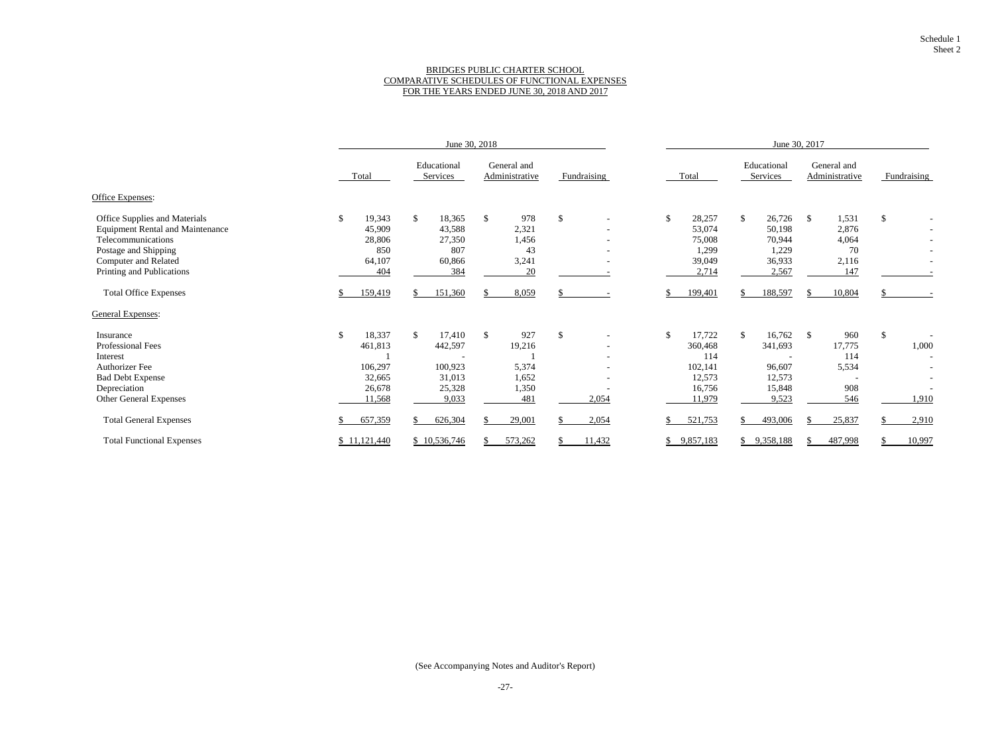#### BRIDGES PUBLIC CHARTER SCHOOL COMPARATIVE SCHEDULES OF FUNCTIONAL EXPENSES FOR THE YEARS ENDED JUNE 30, 2018 AND 2017

|                                         | June 30, 2018           |                         |                               | June 30, 2017             |                         |                                |                               |                           |
|-----------------------------------------|-------------------------|-------------------------|-------------------------------|---------------------------|-------------------------|--------------------------------|-------------------------------|---------------------------|
|                                         | Total                   | Educational<br>Services | General and<br>Administrative | Fundraising               | Total                   | Educational<br><b>Services</b> | General and<br>Administrative | Fundraising               |
| <b>Office Expenses:</b>                 |                         |                         |                               |                           |                         |                                |                               |                           |
| <b>Office Supplies and Materials</b>    | $\mathbb{S}$<br>19,343  | \$<br>18,365            | 978<br>\$                     | $\mathcal{S}$             | $\mathcal{S}$<br>28,257 | 26,726<br>\$                   | - \$<br>1,531                 | $\boldsymbol{\mathsf{S}}$ |
| <b>Equipment Rental and Maintenance</b> | 45,909                  | 43,588                  | 2,321                         |                           | 53,074                  | 50,198                         | 2,876                         |                           |
| Telecommunications                      | 28,806                  | 27,350                  | 1,456                         |                           | 75,008                  | 70,944                         | 4,064                         |                           |
| Postage and Shipping                    | 850                     | 807                     | 43                            |                           | 1,299                   | 1,229                          | 70                            |                           |
| Computer and Related                    | 64,107                  | 60,866                  | 3,241                         |                           | 39,049                  | 36,933                         | 2,116                         | $\overline{\phantom{a}}$  |
| Printing and Publications               | 404                     | 384                     | 20                            |                           | 2,714                   | 2,567                          | 147                           |                           |
| <b>Total Office Expenses</b>            | 159,419                 | 151,360                 | 8,059                         |                           | 199,401                 | 188,597                        | 10,804                        |                           |
| General Expenses:                       |                         |                         |                               |                           |                         |                                |                               |                           |
| Insurance                               | $\mathcal{L}$<br>18,337 | 17,410<br>\$            | \$<br>927                     | $\boldsymbol{\mathsf{S}}$ | 17,722<br>$\mathcal{L}$ | 16,762<br>\$                   | 960<br>$\mathcal{S}$          | $\boldsymbol{\mathsf{S}}$ |
| Professional Fees                       | 461,813                 | 442,597                 | 19,216                        |                           | 360,468                 | 341,693                        | 17,775                        | 1,000                     |
| Interest                                |                         |                         |                               |                           | 114                     |                                | 114                           |                           |
| Authorizer Fee                          | 106,297                 | 100,923                 | 5,374                         |                           | 102,141                 | 96,607                         | 5,534                         |                           |
| <b>Bad Debt Expense</b>                 | 32,665                  | 31,013                  | 1,652                         |                           | 12,573                  | 12,573                         |                               | $\sim$                    |
| Depreciation                            | 26,678                  | 25,328                  | 1,350                         |                           | 16,756                  | 15,848                         | 908                           |                           |
| Other General Expenses                  | 11,568                  | 9,033                   | 481                           | 2,054                     | 11,979                  | 9,523                          | 546                           | 1,910                     |
| <b>Total General Expenses</b>           | 657,359                 | 626,304                 | 29,001                        | 2,054                     | 521,753<br>S.           | 493,006                        | 25,837                        | 2,910                     |
| <b>Total Functional Expenses</b>        | \$11,121,440            | \$10,536,746            | 573,262                       | 11,432                    | 9,857,183<br>S          | \$9,358,188                    | 487,998                       | 10,997                    |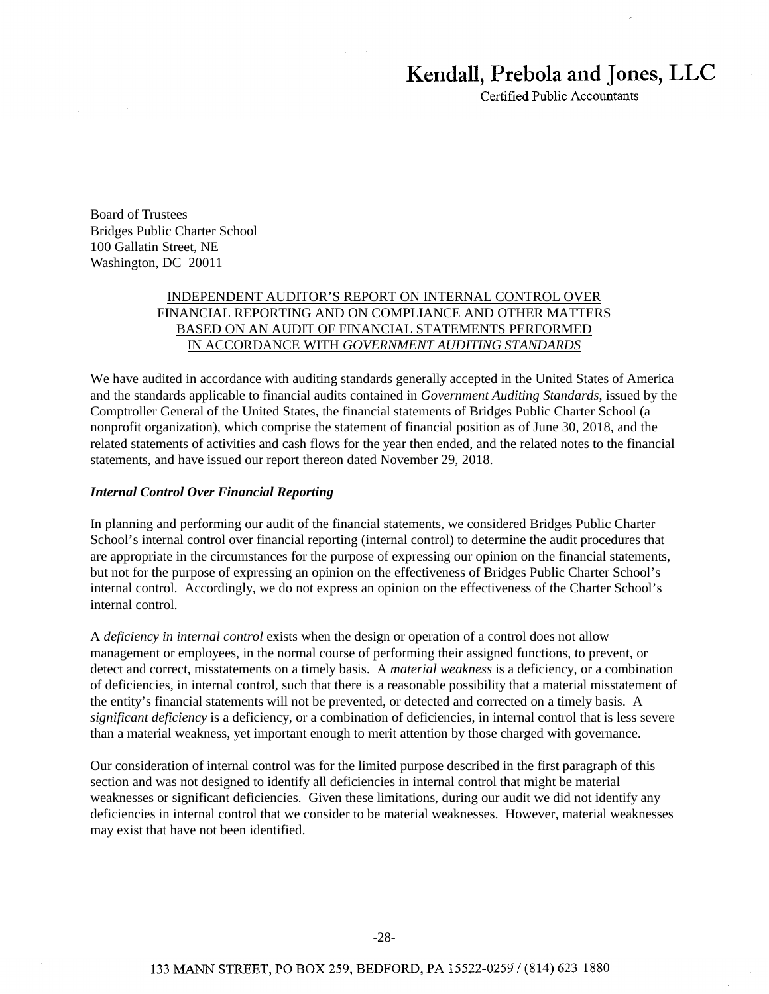# **Kendall, Prebola and Jones, LLC**

Certified Public Accountants

Board of Trustees Bridges Public Charter School 100 Gallatin Street, NE Washington, DC 20011

# INDEPENDENT AUDITOR'S REPORT ON INTERNAL CONTROL OVER FINANCIAL REPORTING AND ON COMPLIANCE AND OTHER MATTERS BASED ON AN AUDIT OF FINANCIAL STATEMENTS PERFORMED IN ACCORDANCE WITH *GOVERNMENT AUDITING STANDARDS*

We have audited in accordance with auditing standards generally accepted in the United States of America and the standards applicable to financial audits contained in *Government Auditing Standards*, issued by the Comptroller General of the United States, the financial statements of Bridges Public Charter School (a nonprofit organization), which comprise the statement of financial position as of June 30, 2018, and the related statements of activities and cash flows for the year then ended, and the related notes to the financial statements, and have issued our report thereon dated November 29, 2018.

#### *Internal Control Over Financial Reporting*

In planning and performing our audit of the financial statements, we considered Bridges Public Charter School's internal control over financial reporting (internal control) to determine the audit procedures that are appropriate in the circumstances for the purpose of expressing our opinion on the financial statements, but not for the purpose of expressing an opinion on the effectiveness of Bridges Public Charter School's internal control. Accordingly, we do not express an opinion on the effectiveness of the Charter School's internal control.

A *deficiency in internal control* exists when the design or operation of a control does not allow management or employees, in the normal course of performing their assigned functions, to prevent, or detect and correct, misstatements on a timely basis. A *material weakness* is a deficiency, or a combination of deficiencies, in internal control, such that there is a reasonable possibility that a material misstatement of the entity's financial statements will not be prevented, or detected and corrected on a timely basis. A *significant deficiency* is a deficiency, or a combination of deficiencies, in internal control that is less severe than a material weakness, yet important enough to merit attention by those charged with governance.

Our consideration of internal control was for the limited purpose described in the first paragraph of this section and was not designed to identify all deficiencies in internal control that might be material weaknesses or significant deficiencies. Given these limitations, during our audit we did not identify any deficiencies in internal control that we consider to be material weaknesses. However, material weaknesses may exist that have not been identified.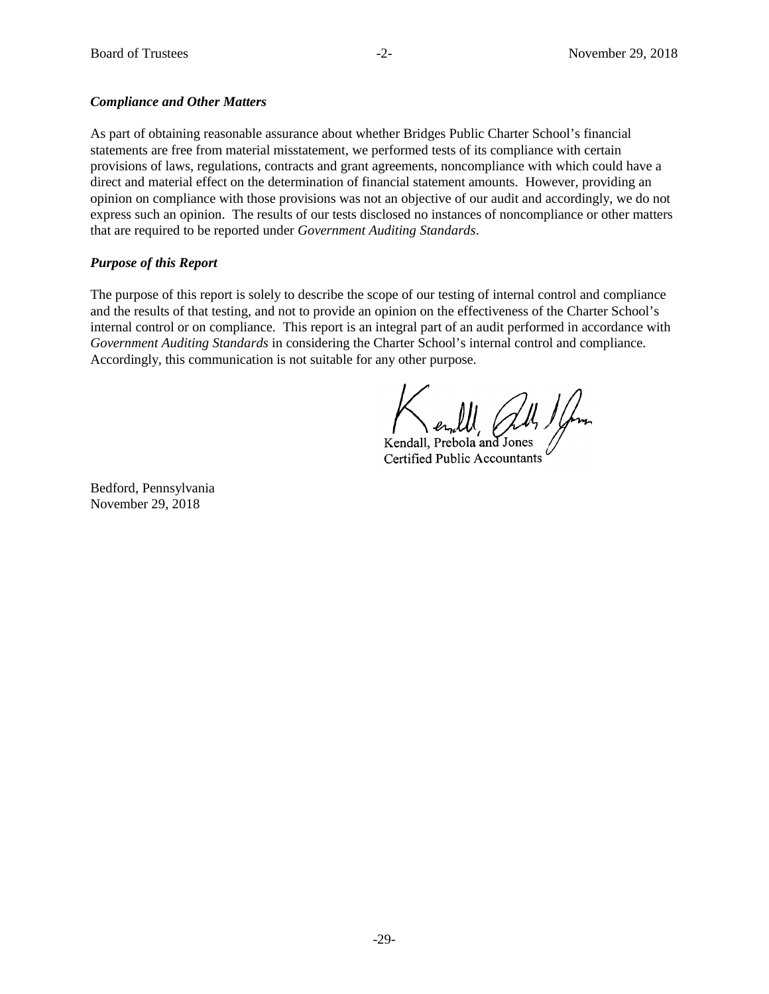# *Compliance and Other Matters*

As part of obtaining reasonable assurance about whether Bridges Public Charter School's financial statements are free from material misstatement, we performed tests of its compliance with certain provisions of laws, regulations, contracts and grant agreements, noncompliance with which could have a direct and material effect on the determination of financial statement amounts. However, providing an opinion on compliance with those provisions was not an objective of our audit and accordingly, we do not express such an opinion. The results of our tests disclosed no instances of noncompliance or other matters that are required to be reported under *Government Auditing Standards*.

# *Purpose of this Report*

The purpose of this report is solely to describe the scope of our testing of internal control and compliance and the results of that testing, and not to provide an opinion on the effectiveness of the Charter School's internal control or on compliance. This report is an integral part of an audit performed in accordance with *Government Auditing Standards* in considering the Charter School's internal control and compliance. Accordingly, this communication is not suitable for any other purpose.

Kendall, Prebola and Jones Certified Public Accountants Kendall, Prebola and Jones Certified Public Accountants

Bedford, Pennsylvania November 29, 2018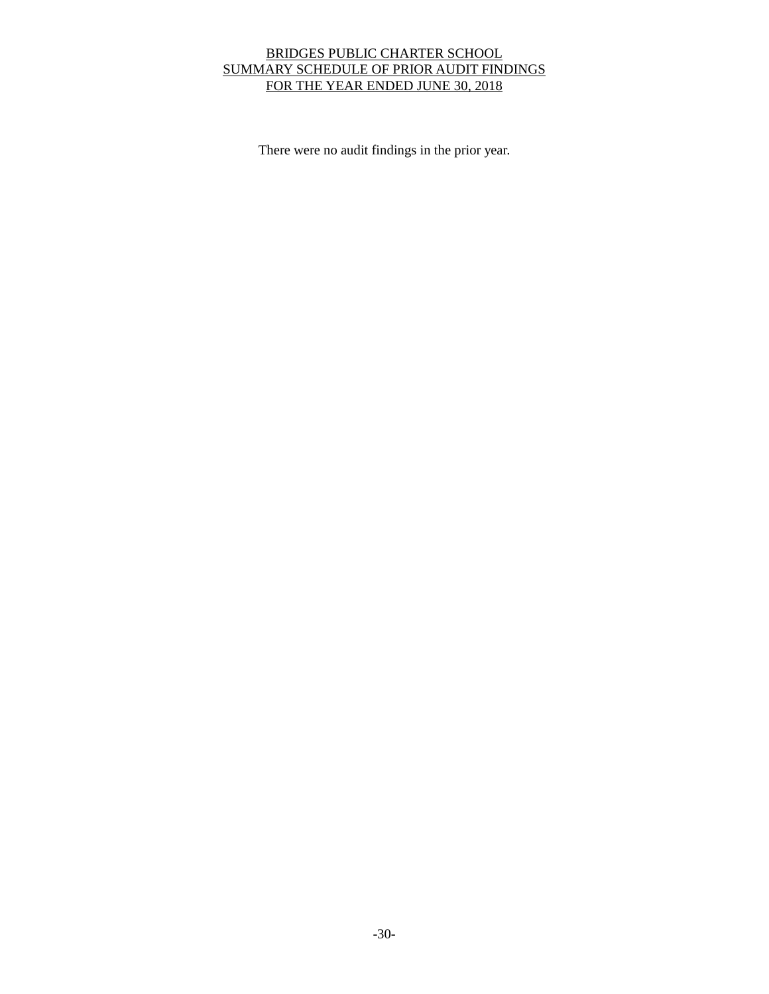# BRIDGES PUBLIC CHARTER SCHOOL SUMMARY SCHEDULE OF PRIOR AUDIT FINDINGS FOR THE YEAR ENDED JUNE 30, 2018

There were no audit findings in the prior year.